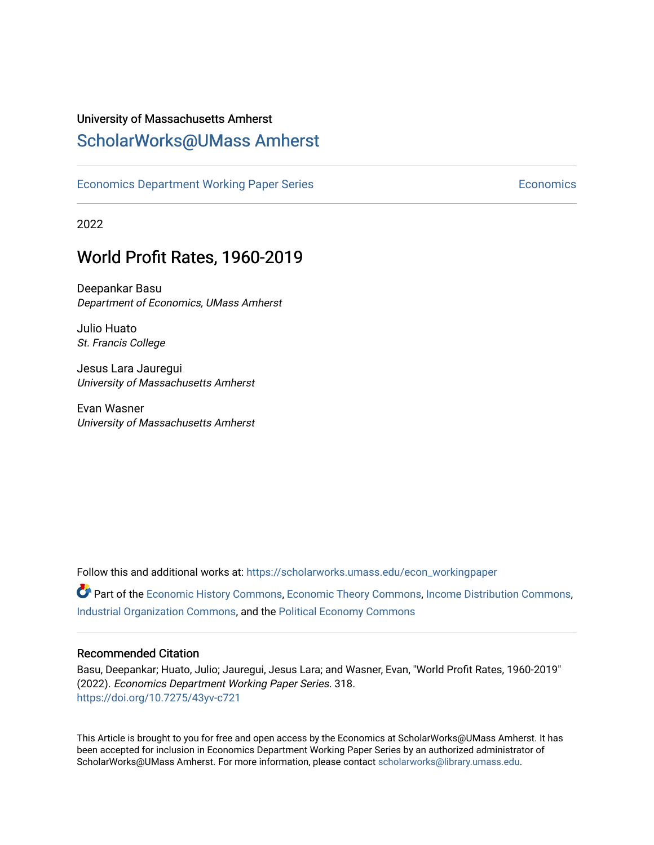# University of Massachusetts Amherst

# [ScholarWorks@UMass Amherst](https://scholarworks.umass.edu/)

[Economics Department Working Paper Series](https://scholarworks.umass.edu/econ_workingpaper) **Economics** [Economics](https://scholarworks.umass.edu/economics) Economics

2022

# World Profit Rates, 1960-2019

Deepankar Basu Department of Economics, UMass Amherst

Julio Huato St. Francis College

Jesus Lara Jauregui University of Massachusetts Amherst

Evan Wasner University of Massachusetts Amherst

Follow this and additional works at: [https://scholarworks.umass.edu/econ\\_workingpaper](https://scholarworks.umass.edu/econ_workingpaper?utm_source=scholarworks.umass.edu%2Fecon_workingpaper%2F318&utm_medium=PDF&utm_campaign=PDFCoverPages) 

Part of the [Economic History Commons](http://network.bepress.com/hgg/discipline/343?utm_source=scholarworks.umass.edu%2Fecon_workingpaper%2F318&utm_medium=PDF&utm_campaign=PDFCoverPages), [Economic Theory Commons,](http://network.bepress.com/hgg/discipline/344?utm_source=scholarworks.umass.edu%2Fecon_workingpaper%2F318&utm_medium=PDF&utm_campaign=PDFCoverPages) [Income Distribution Commons,](http://network.bepress.com/hgg/discipline/1269?utm_source=scholarworks.umass.edu%2Fecon_workingpaper%2F318&utm_medium=PDF&utm_campaign=PDFCoverPages) [Industrial Organization Commons](http://network.bepress.com/hgg/discipline/347?utm_source=scholarworks.umass.edu%2Fecon_workingpaper%2F318&utm_medium=PDF&utm_campaign=PDFCoverPages), and the [Political Economy Commons](http://network.bepress.com/hgg/discipline/352?utm_source=scholarworks.umass.edu%2Fecon_workingpaper%2F318&utm_medium=PDF&utm_campaign=PDFCoverPages) 

#### Recommended Citation

Basu, Deepankar; Huato, Julio; Jauregui, Jesus Lara; and Wasner, Evan, "World Profit Rates, 1960-2019" (2022). Economics Department Working Paper Series. 318. <https://doi.org/10.7275/43yv-c721>

This Article is brought to you for free and open access by the Economics at ScholarWorks@UMass Amherst. It has been accepted for inclusion in Economics Department Working Paper Series by an authorized administrator of ScholarWorks@UMass Amherst. For more information, please contact [scholarworks@library.umass.edu.](mailto:scholarworks@library.umass.edu)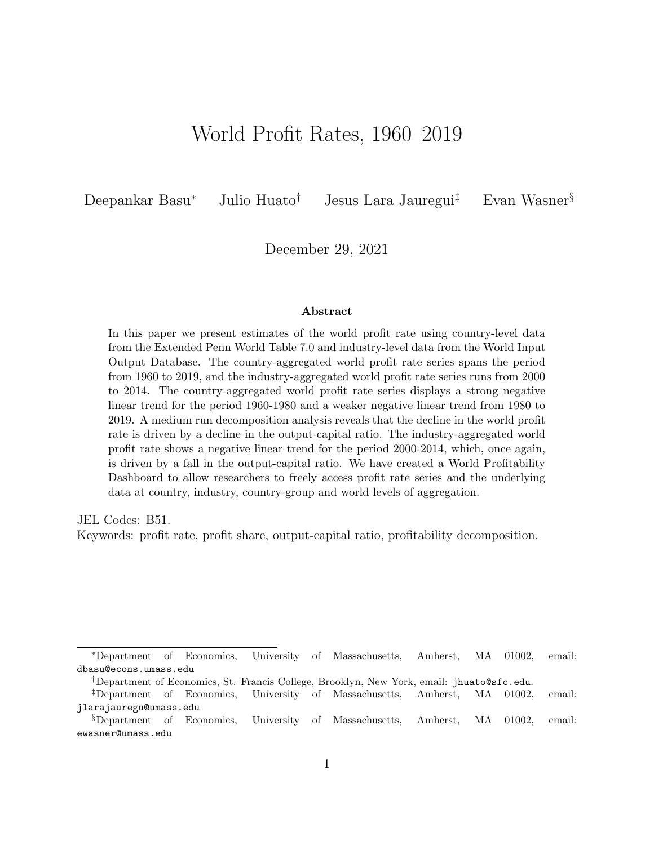# World Profit Rates, 1960–2019

Deepankar Basu<sup>∗</sup> Julio Huato† Jesus Lara Jauregui‡ Evan Wasner§

December 29, 2021

#### Abstract

In this paper we present estimates of the world profit rate using country-level data from the Extended Penn World Table 7.0 and industry-level data from the World Input Output Database. The country-aggregated world profit rate series spans the period from 1960 to 2019, and the industry-aggregated world profit rate series runs from 2000 to 2014. The country-aggregated world profit rate series displays a strong negative linear trend for the period 1960-1980 and a weaker negative linear trend from 1980 to 2019. A medium run decomposition analysis reveals that the decline in the world profit rate is driven by a decline in the output-capital ratio. The industry-aggregated world profit rate shows a negative linear trend for the period 2000-2014, which, once again, is driven by a fall in the output-capital ratio. We have created a World Profitability Dashboard to allow researchers to freely access profit rate series and the underlying data at country, industry, country-group and world levels of aggregation.

JEL Codes: B51.

Keywords: profit rate, profit share, output-capital ratio, profitability decomposition.

<sup>∗</sup>Department of Economics, University of Massachusetts, Amherst, MA 01002, email: dbasu@econs.umass.edu

<sup>†</sup>Department of Economics, St. Francis College, Brooklyn, New York, email: jhuato@sfc.edu.

<sup>‡</sup>Department of Economics, University of Massachusetts, Amherst, MA 01002, email: jlarajauregu@umass.edu

<sup>§</sup>Department of Economics, University of Massachusetts, Amherst, MA 01002, email: ewasner@umass.edu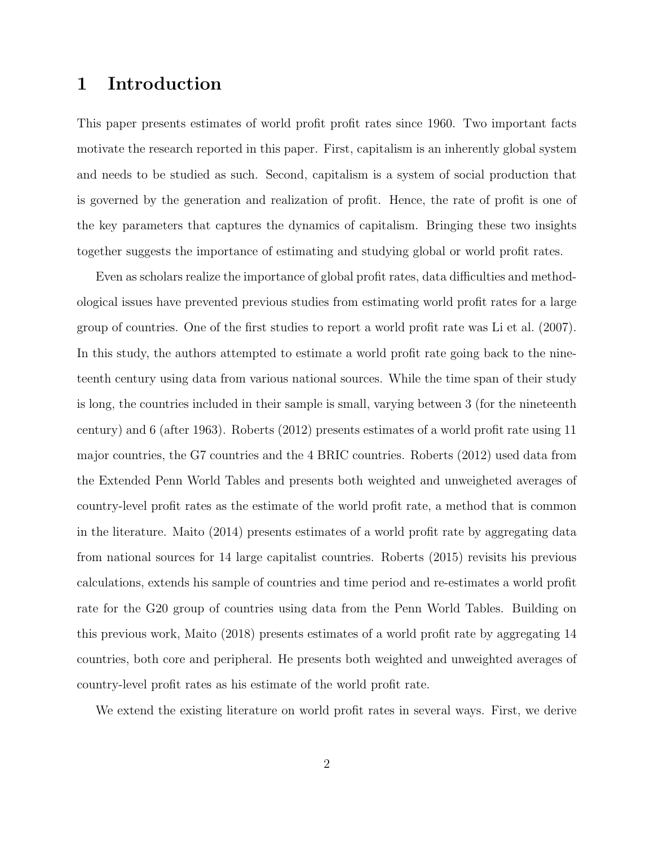## 1 Introduction

This paper presents estimates of world profit profit rates since 1960. Two important facts motivate the research reported in this paper. First, capitalism is an inherently global system and needs to be studied as such. Second, capitalism is a system of social production that is governed by the generation and realization of profit. Hence, the rate of profit is one of the key parameters that captures the dynamics of capitalism. Bringing these two insights together suggests the importance of estimating and studying global or world profit rates.

Even as scholars realize the importance of global profit rates, data difficulties and methodological issues have prevented previous studies from estimating world profit rates for a large group of countries. One of the first studies to report a world profit rate was Li et al. (2007). In this study, the authors attempted to estimate a world profit rate going back to the nineteenth century using data from various national sources. While the time span of their study is long, the countries included in their sample is small, varying between 3 (for the nineteenth century) and 6 (after 1963). Roberts (2012) presents estimates of a world profit rate using 11 major countries, the G7 countries and the 4 BRIC countries. Roberts (2012) used data from the Extended Penn World Tables and presents both weighted and unweigheted averages of country-level profit rates as the estimate of the world profit rate, a method that is common in the literature. Maito (2014) presents estimates of a world profit rate by aggregating data from national sources for 14 large capitalist countries. Roberts (2015) revisits his previous calculations, extends his sample of countries and time period and re-estimates a world profit rate for the G20 group of countries using data from the Penn World Tables. Building on this previous work, Maito (2018) presents estimates of a world profit rate by aggregating 14 countries, both core and peripheral. He presents both weighted and unweighted averages of country-level profit rates as his estimate of the world profit rate.

We extend the existing literature on world profit rates in several ways. First, we derive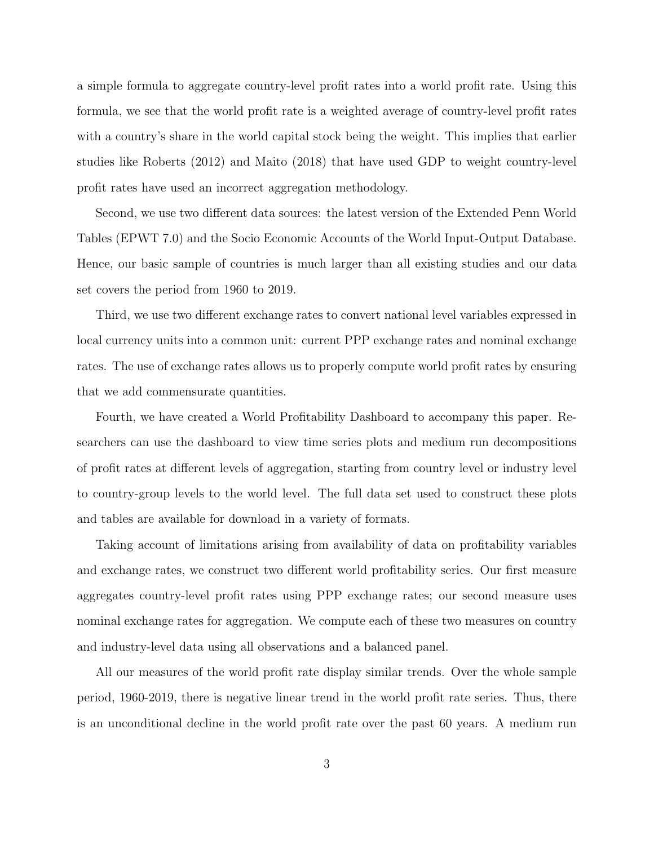a simple formula to aggregate country-level profit rates into a world profit rate. Using this formula, we see that the world profit rate is a weighted average of country-level profit rates with a country's share in the world capital stock being the weight. This implies that earlier studies like Roberts (2012) and Maito (2018) that have used GDP to weight country-level profit rates have used an incorrect aggregation methodology.

Second, we use two different data sources: the latest version of the Extended Penn World Tables (EPWT 7.0) and the Socio Economic Accounts of the World Input-Output Database. Hence, our basic sample of countries is much larger than all existing studies and our data set covers the period from 1960 to 2019.

Third, we use two different exchange rates to convert national level variables expressed in local currency units into a common unit: current PPP exchange rates and nominal exchange rates. The use of exchange rates allows us to properly compute world profit rates by ensuring that we add commensurate quantities.

Fourth, we have created a World Profitability Dashboard to accompany this paper. Researchers can use the dashboard to view time series plots and medium run decompositions of profit rates at different levels of aggregation, starting from country level or industry level to country-group levels to the world level. The full data set used to construct these plots and tables are available for download in a variety of formats.

Taking account of limitations arising from availability of data on profitability variables and exchange rates, we construct two different world profitability series. Our first measure aggregates country-level profit rates using PPP exchange rates; our second measure uses nominal exchange rates for aggregation. We compute each of these two measures on country and industry-level data using all observations and a balanced panel.

All our measures of the world profit rate display similar trends. Over the whole sample period, 1960-2019, there is negative linear trend in the world profit rate series. Thus, there is an unconditional decline in the world profit rate over the past 60 years. A medium run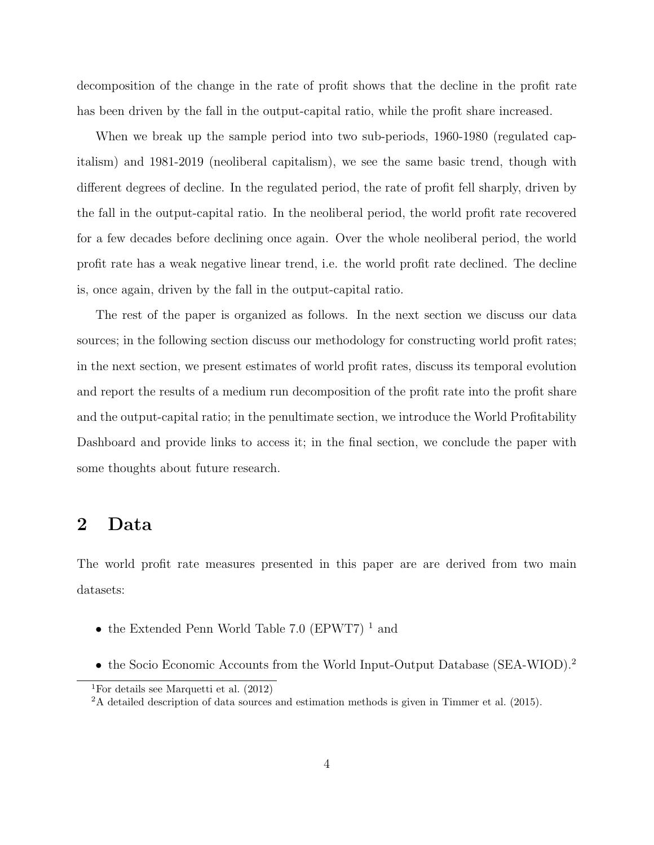decomposition of the change in the rate of profit shows that the decline in the profit rate has been driven by the fall in the output-capital ratio, while the profit share increased.

When we break up the sample period into two sub-periods, 1960-1980 (regulated capitalism) and 1981-2019 (neoliberal capitalism), we see the same basic trend, though with different degrees of decline. In the regulated period, the rate of profit fell sharply, driven by the fall in the output-capital ratio. In the neoliberal period, the world profit rate recovered for a few decades before declining once again. Over the whole neoliberal period, the world profit rate has a weak negative linear trend, i.e. the world profit rate declined. The decline is, once again, driven by the fall in the output-capital ratio.

The rest of the paper is organized as follows. In the next section we discuss our data sources; in the following section discuss our methodology for constructing world profit rates; in the next section, we present estimates of world profit rates, discuss its temporal evolution and report the results of a medium run decomposition of the profit rate into the profit share and the output-capital ratio; in the penultimate section, we introduce the World Profitability Dashboard and provide links to access it; in the final section, we conclude the paper with some thoughts about future research.

## 2 Data

The world profit rate measures presented in this paper are are derived from two main datasets:

- the Extended Penn World Table 7.0 (EPWT7)<sup>1</sup> and
- the Socio Economic Accounts from the World Input-Output Database (SEA-WIOD).<sup>2</sup>

<sup>&</sup>lt;sup>1</sup>For details see Marquetti et al.  $(2012)$ 

<sup>2</sup>A detailed description of data sources and estimation methods is given in Timmer et al. (2015).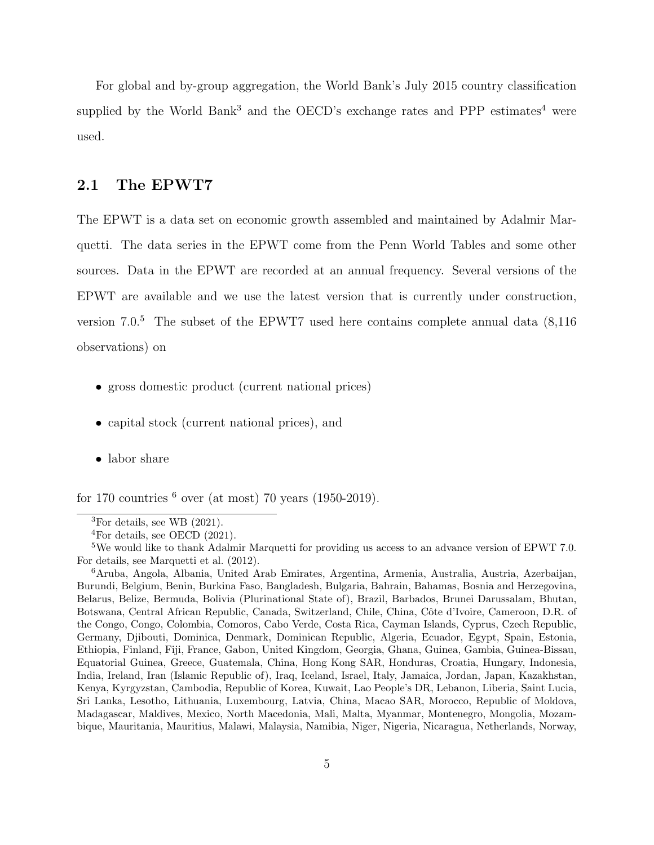For global and by-group aggregation, the World Bank's July 2015 country classification supplied by the World Bank<sup>3</sup> and the OECD's exchange rates and PPP estimates<sup>4</sup> were used.

## 2.1 The EPWT7

The EPWT is a data set on economic growth assembled and maintained by Adalmir Marquetti. The data series in the EPWT come from the Penn World Tables and some other sources. Data in the EPWT are recorded at an annual frequency. Several versions of the EPWT are available and we use the latest version that is currently under construction, version  $7.0<sup>5</sup>$ . The subset of the EPWT7 used here contains complete annual data (8.116) observations) on

- gross domestic product (current national prices)
- capital stock (current national prices), and
- labor share

for 170 countries  $6 \text{ over (at most) } 70 \text{ years } (1950-2019).$ 

<sup>&</sup>lt;sup>3</sup>For details, see WB  $(2021)$ .

<sup>4</sup>For details, see OECD (2021).

<sup>5</sup>We would like to thank Adalmir Marquetti for providing us access to an advance version of EPWT 7.0. For details, see Marquetti et al. (2012).

<sup>6</sup>Aruba, Angola, Albania, United Arab Emirates, Argentina, Armenia, Australia, Austria, Azerbaijan, Burundi, Belgium, Benin, Burkina Faso, Bangladesh, Bulgaria, Bahrain, Bahamas, Bosnia and Herzegovina, Belarus, Belize, Bermuda, Bolivia (Plurinational State of), Brazil, Barbados, Brunei Darussalam, Bhutan, Botswana, Central African Republic, Canada, Switzerland, Chile, China, Côte d'Ivoire, Cameroon, D.R. of the Congo, Congo, Colombia, Comoros, Cabo Verde, Costa Rica, Cayman Islands, Cyprus, Czech Republic, Germany, Djibouti, Dominica, Denmark, Dominican Republic, Algeria, Ecuador, Egypt, Spain, Estonia, Ethiopia, Finland, Fiji, France, Gabon, United Kingdom, Georgia, Ghana, Guinea, Gambia, Guinea-Bissau, Equatorial Guinea, Greece, Guatemala, China, Hong Kong SAR, Honduras, Croatia, Hungary, Indonesia, India, Ireland, Iran (Islamic Republic of), Iraq, Iceland, Israel, Italy, Jamaica, Jordan, Japan, Kazakhstan, Kenya, Kyrgyzstan, Cambodia, Republic of Korea, Kuwait, Lao People's DR, Lebanon, Liberia, Saint Lucia, Sri Lanka, Lesotho, Lithuania, Luxembourg, Latvia, China, Macao SAR, Morocco, Republic of Moldova, Madagascar, Maldives, Mexico, North Macedonia, Mali, Malta, Myanmar, Montenegro, Mongolia, Mozambique, Mauritania, Mauritius, Malawi, Malaysia, Namibia, Niger, Nigeria, Nicaragua, Netherlands, Norway,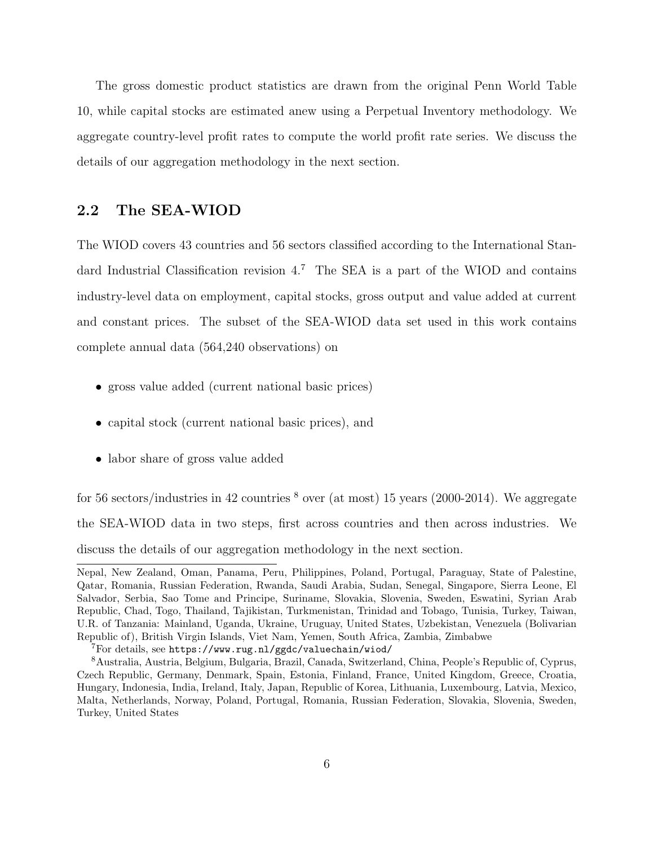The gross domestic product statistics are drawn from the original Penn World Table 10, while capital stocks are estimated anew using a Perpetual Inventory methodology. We aggregate country-level profit rates to compute the world profit rate series. We discuss the details of our aggregation methodology in the next section.

## 2.2 The SEA-WIOD

The WIOD covers 43 countries and 56 sectors classified according to the International Standard Industrial Classification revision  $4<sup>7</sup>$  The SEA is a part of the WIOD and contains industry-level data on employment, capital stocks, gross output and value added at current and constant prices. The subset of the SEA-WIOD data set used in this work contains complete annual data (564,240 observations) on

- gross value added (current national basic prices)
- capital stock (current national basic prices), and
- labor share of gross value added

for 56 sectors/industries in 42 countries  $\delta$  over (at most) 15 years (2000-2014). We aggregate the SEA-WIOD data in two steps, first across countries and then across industries. We discuss the details of our aggregation methodology in the next section.

Nepal, New Zealand, Oman, Panama, Peru, Philippines, Poland, Portugal, Paraguay, State of Palestine, Qatar, Romania, Russian Federation, Rwanda, Saudi Arabia, Sudan, Senegal, Singapore, Sierra Leone, El Salvador, Serbia, Sao Tome and Principe, Suriname, Slovakia, Slovenia, Sweden, Eswatini, Syrian Arab Republic, Chad, Togo, Thailand, Tajikistan, Turkmenistan, Trinidad and Tobago, Tunisia, Turkey, Taiwan, U.R. of Tanzania: Mainland, Uganda, Ukraine, Uruguay, United States, Uzbekistan, Venezuela (Bolivarian Republic of), British Virgin Islands, Viet Nam, Yemen, South Africa, Zambia, Zimbabwe

<sup>7</sup>For details, see https://www.rug.nl/ggdc/valuechain/wiod/

<sup>8</sup>Australia, Austria, Belgium, Bulgaria, Brazil, Canada, Switzerland, China, People's Republic of, Cyprus, Czech Republic, Germany, Denmark, Spain, Estonia, Finland, France, United Kingdom, Greece, Croatia, Hungary, Indonesia, India, Ireland, Italy, Japan, Republic of Korea, Lithuania, Luxembourg, Latvia, Mexico, Malta, Netherlands, Norway, Poland, Portugal, Romania, Russian Federation, Slovakia, Slovenia, Sweden, Turkey, United States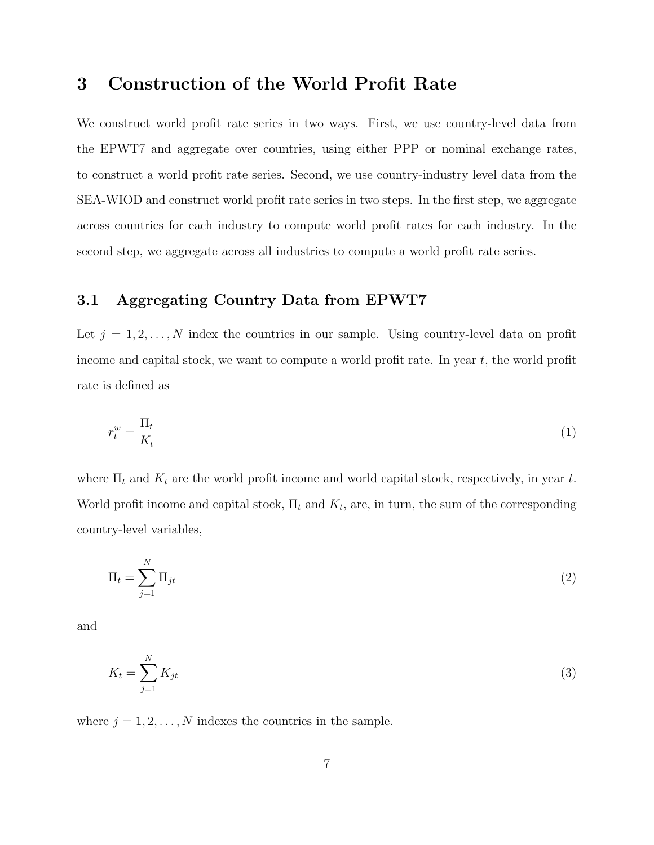# 3 Construction of the World Profit Rate

We construct world profit rate series in two ways. First, we use country-level data from the EPWT7 and aggregate over countries, using either PPP or nominal exchange rates, to construct a world profit rate series. Second, we use country-industry level data from the SEA-WIOD and construct world profit rate series in two steps. In the first step, we aggregate across countries for each industry to compute world profit rates for each industry. In the second step, we aggregate across all industries to compute a world profit rate series.

## 3.1 Aggregating Country Data from EPWT7

Let  $j = 1, 2, \ldots, N$  index the countries in our sample. Using country-level data on profit income and capital stock, we want to compute a world profit rate. In year  $t$ , the world profit rate is defined as

$$
r_t^w = \frac{\Pi_t}{K_t} \tag{1}
$$

where  $\Pi_t$  and  $K_t$  are the world profit income and world capital stock, respectively, in year t. World profit income and capital stock,  $\Pi_t$  and  $K_t$ , are, in turn, the sum of the corresponding country-level variables,

$$
\Pi_t = \sum_{j=1}^N \Pi_{jt} \tag{2}
$$

and

$$
K_t = \sum_{j=1}^{N} K_{jt} \tag{3}
$$

where  $j = 1, 2, ..., N$  indexes the countries in the sample.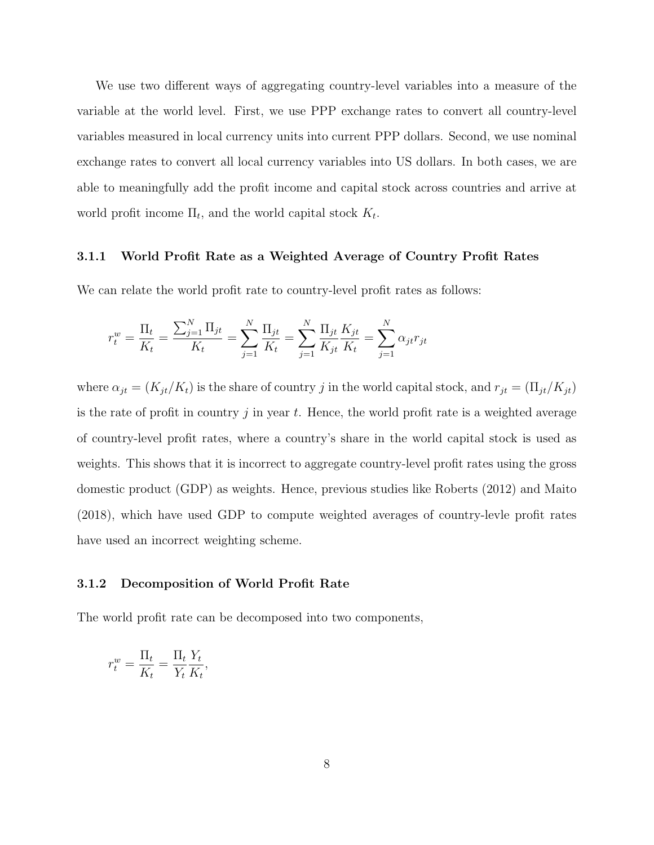We use two different ways of aggregating country-level variables into a measure of the variable at the world level. First, we use PPP exchange rates to convert all country-level variables measured in local currency units into current PPP dollars. Second, we use nominal exchange rates to convert all local currency variables into US dollars. In both cases, we are able to meaningfully add the profit income and capital stock across countries and arrive at world profit income  $\Pi_t$ , and the world capital stock  $K_t$ .

#### 3.1.1 World Profit Rate as a Weighted Average of Country Profit Rates

We can relate the world profit rate to country-level profit rates as follows:

$$
r_t^w = \frac{\Pi_t}{K_t} = \frac{\sum_{j=1}^N \Pi_{jt}}{K_t} = \sum_{j=1}^N \frac{\Pi_{jt}}{K_t} = \sum_{j=1}^N \frac{\Pi_{jt}}{K_{jt}} \frac{K_{jt}}{K_t} = \sum_{j=1}^N \alpha_{jt} r_{jt}
$$

where  $\alpha_{jt} = (K_{jt}/K_t)$  is the share of country j in the world capital stock, and  $r_{jt} = (\Pi_{jt}/K_{jt})$ is the rate of profit in country j in year t. Hence, the world profit rate is a weighted average of country-level profit rates, where a country's share in the world capital stock is used as weights. This shows that it is incorrect to aggregate country-level profit rates using the gross domestic product (GDP) as weights. Hence, previous studies like Roberts (2012) and Maito (2018), which have used GDP to compute weighted averages of country-levle profit rates have used an incorrect weighting scheme.

#### 3.1.2 Decomposition of World Profit Rate

The world profit rate can be decomposed into two components,

$$
r_t^w = \frac{\Pi_t}{K_t} = \frac{\Pi_t}{Y_t} \frac{Y_t}{K_t},
$$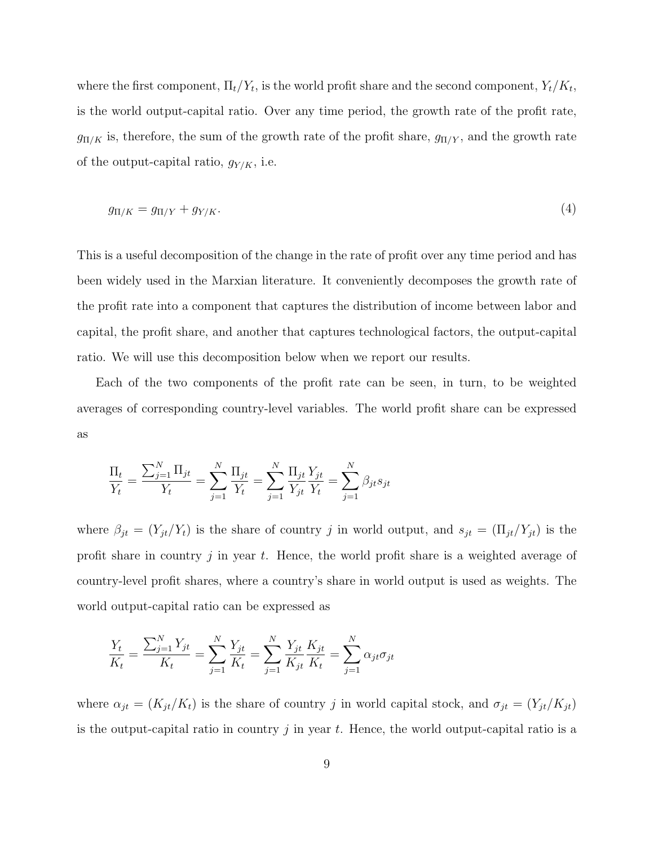where the first component,  $\Pi_t/Y_t$ , is the world profit share and the second component,  $Y_t/K_t$ , is the world output-capital ratio. Over any time period, the growth rate of the profit rate,  $g_{\Pi/K}$  is, therefore, the sum of the growth rate of the profit share,  $g_{\Pi/Y}$ , and the growth rate of the output-capital ratio,  $g_{Y/K}$ , i.e.

$$
g_{\Pi/K} = g_{\Pi/Y} + g_{Y/K}.\tag{4}
$$

This is a useful decomposition of the change in the rate of profit over any time period and has been widely used in the Marxian literature. It conveniently decomposes the growth rate of the profit rate into a component that captures the distribution of income between labor and capital, the profit share, and another that captures technological factors, the output-capital ratio. We will use this decomposition below when we report our results.

Each of the two components of the profit rate can be seen, in turn, to be weighted averages of corresponding country-level variables. The world profit share can be expressed as

$$
\frac{\Pi_t}{Y_t} = \frac{\sum_{j=1}^{N} \Pi_{jt}}{Y_t} = \sum_{j=1}^{N} \frac{\Pi_{jt}}{Y_t} = \sum_{j=1}^{N} \frac{\Pi_{jt}}{Y_{jt}} \frac{Y_{jt}}{Y_t} = \sum_{j=1}^{N} \beta_{jt} s_{jt}
$$

where  $\beta_{jt} = (Y_{jt}/Y_t)$  is the share of country j in world output, and  $s_{jt} = (\prod_{jt}/Y_{jt})$  is the profit share in country  $j$  in year  $t$ . Hence, the world profit share is a weighted average of country-level profit shares, where a country's share in world output is used as weights. The world output-capital ratio can be expressed as

$$
\frac{Y_t}{K_t} = \frac{\sum_{j=1}^{N} Y_{jt}}{K_t} = \sum_{j=1}^{N} \frac{Y_{jt}}{K_t} = \sum_{j=1}^{N} \frac{Y_{jt}}{K_{jt}} \frac{K_{jt}}{K_t} = \sum_{j=1}^{N} \alpha_{jt} \sigma_{jt}
$$

where  $\alpha_{jt} = (K_{jt}/K_t)$  is the share of country j in world capital stock, and  $\sigma_{jt} = (Y_{jt}/K_{jt})$ is the output-capital ratio in country j in year t. Hence, the world output-capital ratio is a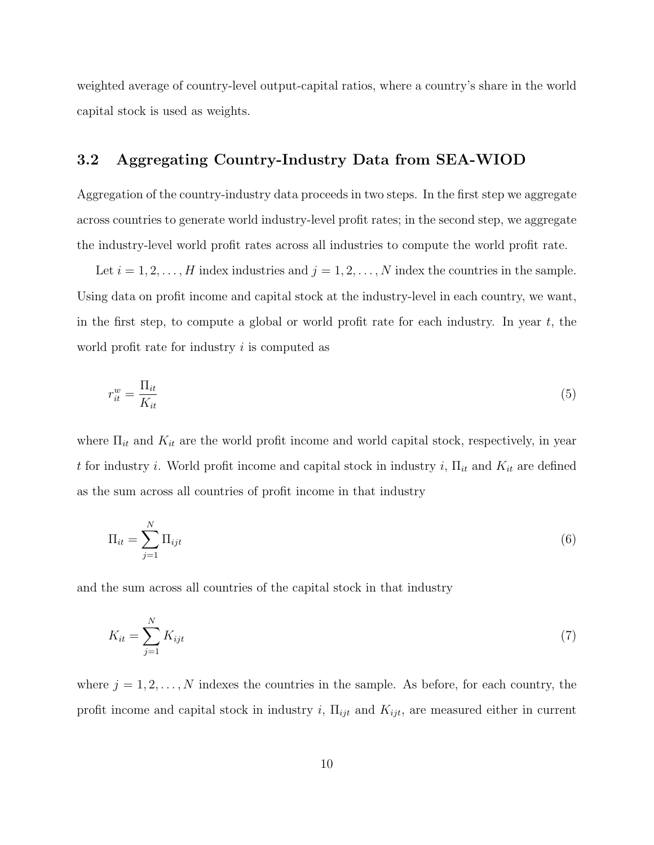weighted average of country-level output-capital ratios, where a country's share in the world capital stock is used as weights.

## 3.2 Aggregating Country-Industry Data from SEA-WIOD

Aggregation of the country-industry data proceeds in two steps. In the first step we aggregate across countries to generate world industry-level profit rates; in the second step, we aggregate the industry-level world profit rates across all industries to compute the world profit rate.

Let  $i = 1, 2, \ldots, H$  index industries and  $j = 1, 2, \ldots, N$  index the countries in the sample. Using data on profit income and capital stock at the industry-level in each country, we want, in the first step, to compute a global or world profit rate for each industry. In year  $t$ , the world profit rate for industry  $i$  is computed as

$$
r_{it}^w = \frac{\Pi_{it}}{K_{it}}\tag{5}
$$

where  $\Pi_{it}$  and  $K_{it}$  are the world profit income and world capital stock, respectively, in year t for industry i. World profit income and capital stock in industry i,  $\Pi_{it}$  and  $K_{it}$  are defined as the sum across all countries of profit income in that industry

$$
\Pi_{it} = \sum_{j=1}^{N} \Pi_{ijt} \tag{6}
$$

and the sum across all countries of the capital stock in that industry

$$
K_{it} = \sum_{j=1}^{N} K_{ijt} \tag{7}
$$

where  $j = 1, 2, \ldots, N$  indexes the countries in the sample. As before, for each country, the profit income and capital stock in industry i,  $\Pi_{ijt}$  and  $K_{ijt}$ , are measured either in current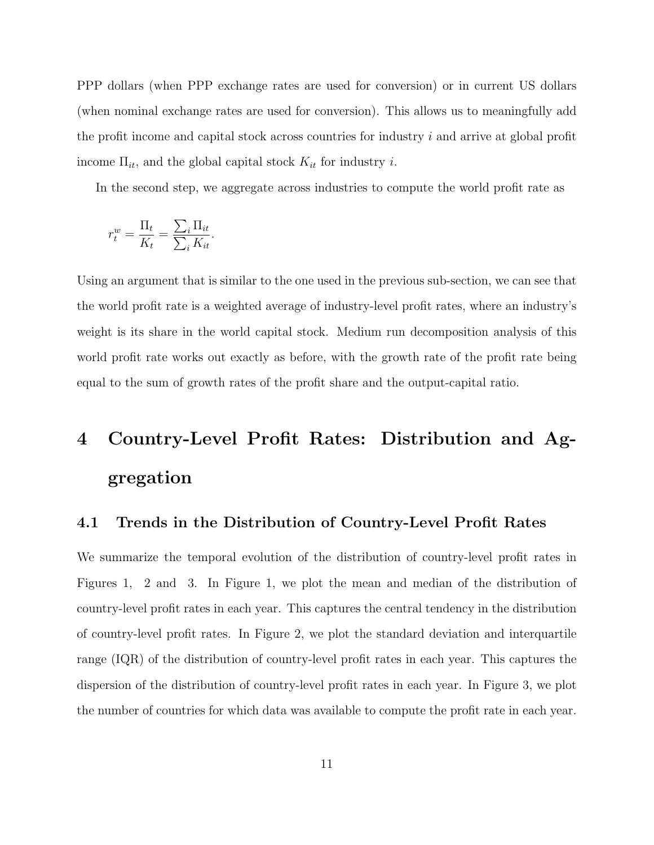PPP dollars (when PPP exchange rates are used for conversion) or in current US dollars (when nominal exchange rates are used for conversion). This allows us to meaningfully add the profit income and capital stock across countries for industry i and arrive at global profit income  $\Pi_{it}$ , and the global capital stock  $K_{it}$  for industry *i*.

In the second step, we aggregate across industries to compute the world profit rate as

$$
r_t^w = \frac{\Pi_t}{K_t} = \frac{\sum_i \Pi_{it}}{\sum_i K_{it}}.
$$

Using an argument that is similar to the one used in the previous sub-section, we can see that the world profit rate is a weighted average of industry-level profit rates, where an industry's weight is its share in the world capital stock. Medium run decomposition analysis of this world profit rate works out exactly as before, with the growth rate of the profit rate being equal to the sum of growth rates of the profit share and the output-capital ratio.

# 4 Country-Level Profit Rates: Distribution and Aggregation

## 4.1 Trends in the Distribution of Country-Level Profit Rates

We summarize the temporal evolution of the distribution of country-level profit rates in Figures 1, 2 and 3. In Figure 1, we plot the mean and median of the distribution of country-level profit rates in each year. This captures the central tendency in the distribution of country-level profit rates. In Figure 2, we plot the standard deviation and interquartile range (IQR) of the distribution of country-level profit rates in each year. This captures the dispersion of the distribution of country-level profit rates in each year. In Figure 3, we plot the number of countries for which data was available to compute the profit rate in each year.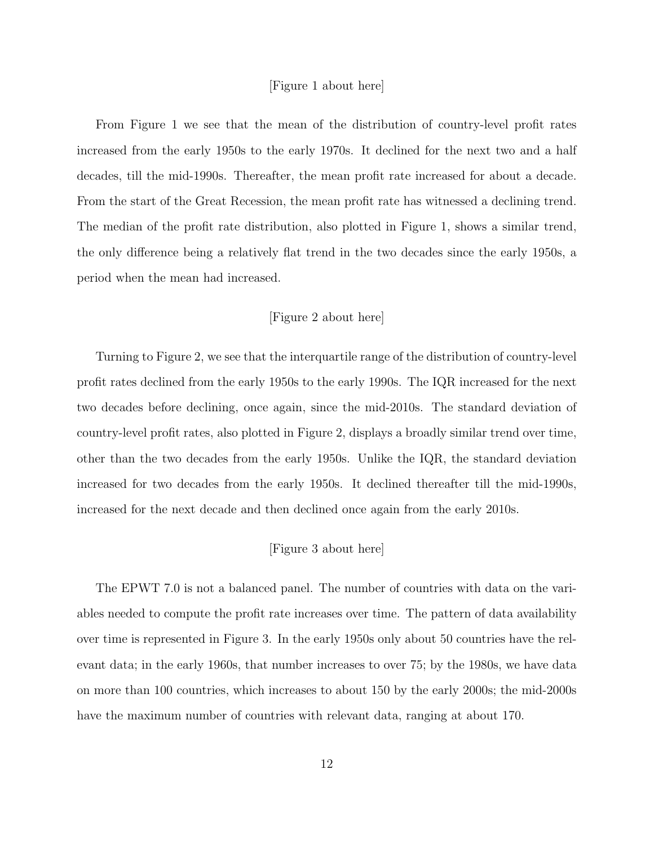#### [Figure 1 about here]

From Figure 1 we see that the mean of the distribution of country-level profit rates increased from the early 1950s to the early 1970s. It declined for the next two and a half decades, till the mid-1990s. Thereafter, the mean profit rate increased for about a decade. From the start of the Great Recession, the mean profit rate has witnessed a declining trend. The median of the profit rate distribution, also plotted in Figure 1, shows a similar trend, the only difference being a relatively flat trend in the two decades since the early 1950s, a period when the mean had increased.

#### [Figure 2 about here]

Turning to Figure 2, we see that the interquartile range of the distribution of country-level profit rates declined from the early 1950s to the early 1990s. The IQR increased for the next two decades before declining, once again, since the mid-2010s. The standard deviation of country-level profit rates, also plotted in Figure 2, displays a broadly similar trend over time, other than the two decades from the early 1950s. Unlike the IQR, the standard deviation increased for two decades from the early 1950s. It declined thereafter till the mid-1990s, increased for the next decade and then declined once again from the early 2010s.

#### [Figure 3 about here]

The EPWT 7.0 is not a balanced panel. The number of countries with data on the variables needed to compute the profit rate increases over time. The pattern of data availability over time is represented in Figure 3. In the early 1950s only about 50 countries have the relevant data; in the early 1960s, that number increases to over 75; by the 1980s, we have data on more than 100 countries, which increases to about 150 by the early 2000s; the mid-2000s have the maximum number of countries with relevant data, ranging at about 170.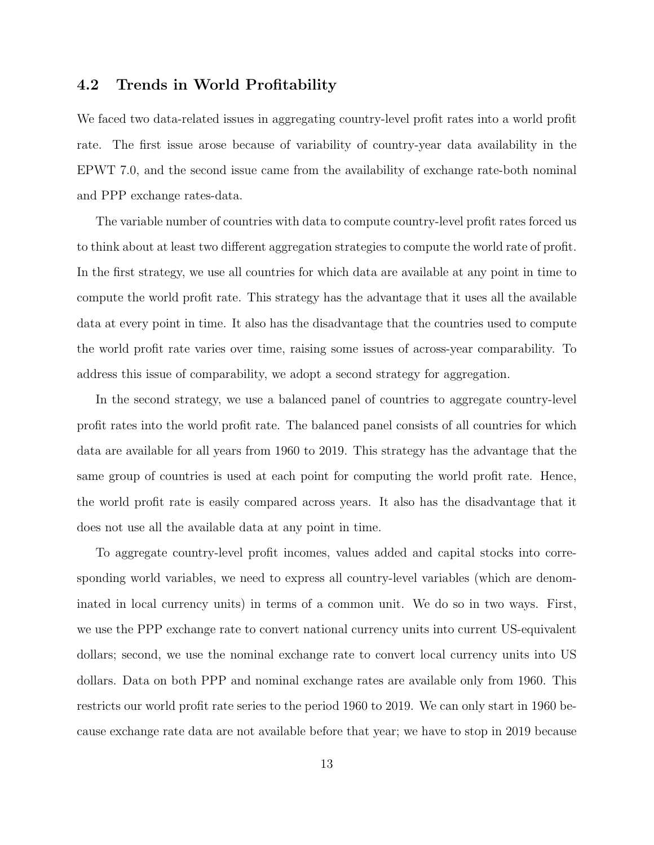## 4.2 Trends in World Profitability

We faced two data-related issues in aggregating country-level profit rates into a world profit rate. The first issue arose because of variability of country-year data availability in the EPWT 7.0, and the second issue came from the availability of exchange rate-both nominal and PPP exchange rates-data.

The variable number of countries with data to compute country-level profit rates forced us to think about at least two different aggregation strategies to compute the world rate of profit. In the first strategy, we use all countries for which data are available at any point in time to compute the world profit rate. This strategy has the advantage that it uses all the available data at every point in time. It also has the disadvantage that the countries used to compute the world profit rate varies over time, raising some issues of across-year comparability. To address this issue of comparability, we adopt a second strategy for aggregation.

In the second strategy, we use a balanced panel of countries to aggregate country-level profit rates into the world profit rate. The balanced panel consists of all countries for which data are available for all years from 1960 to 2019. This strategy has the advantage that the same group of countries is used at each point for computing the world profit rate. Hence, the world profit rate is easily compared across years. It also has the disadvantage that it does not use all the available data at any point in time.

To aggregate country-level profit incomes, values added and capital stocks into corresponding world variables, we need to express all country-level variables (which are denominated in local currency units) in terms of a common unit. We do so in two ways. First, we use the PPP exchange rate to convert national currency units into current US-equivalent dollars; second, we use the nominal exchange rate to convert local currency units into US dollars. Data on both PPP and nominal exchange rates are available only from 1960. This restricts our world profit rate series to the period 1960 to 2019. We can only start in 1960 because exchange rate data are not available before that year; we have to stop in 2019 because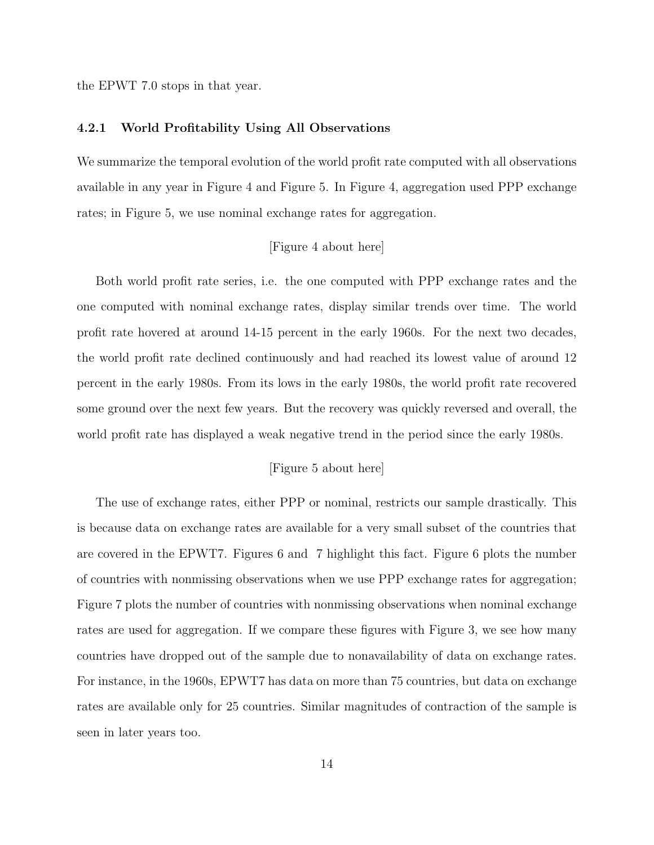the EPWT 7.0 stops in that year.

#### 4.2.1 World Profitability Using All Observations

We summarize the temporal evolution of the world profit rate computed with all observations available in any year in Figure 4 and Figure 5. In Figure 4, aggregation used PPP exchange rates; in Figure 5, we use nominal exchange rates for aggregation.

#### [Figure 4 about here]

Both world profit rate series, i.e. the one computed with PPP exchange rates and the one computed with nominal exchange rates, display similar trends over time. The world profit rate hovered at around 14-15 percent in the early 1960s. For the next two decades, the world profit rate declined continuously and had reached its lowest value of around 12 percent in the early 1980s. From its lows in the early 1980s, the world profit rate recovered some ground over the next few years. But the recovery was quickly reversed and overall, the world profit rate has displayed a weak negative trend in the period since the early 1980s.

#### [Figure 5 about here]

The use of exchange rates, either PPP or nominal, restricts our sample drastically. This is because data on exchange rates are available for a very small subset of the countries that are covered in the EPWT7. Figures 6 and 7 highlight this fact. Figure 6 plots the number of countries with nonmissing observations when we use PPP exchange rates for aggregation; Figure 7 plots the number of countries with nonmissing observations when nominal exchange rates are used for aggregation. If we compare these figures with Figure 3, we see how many countries have dropped out of the sample due to nonavailability of data on exchange rates. For instance, in the 1960s, EPWT7 has data on more than 75 countries, but data on exchange rates are available only for 25 countries. Similar magnitudes of contraction of the sample is seen in later years too.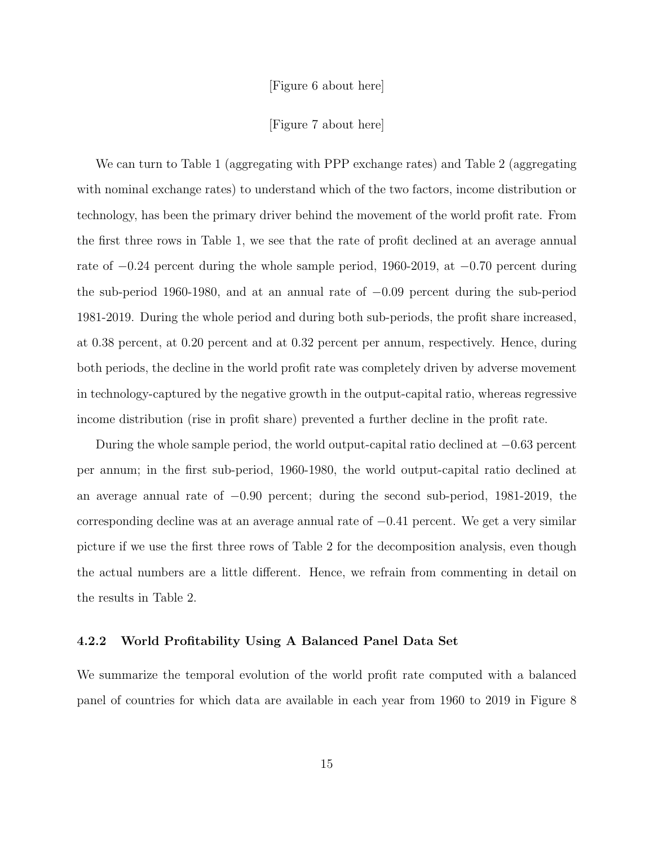[Figure 6 about here]

[Figure 7 about here]

We can turn to Table 1 (aggregating with PPP exchange rates) and Table 2 (aggregating with nominal exchange rates) to understand which of the two factors, income distribution or technology, has been the primary driver behind the movement of the world profit rate. From the first three rows in Table 1, we see that the rate of profit declined at an average annual rate of −0.24 percent during the whole sample period, 1960-2019, at −0.70 percent during the sub-period 1960-1980, and at an annual rate of −0.09 percent during the sub-period 1981-2019. During the whole period and during both sub-periods, the profit share increased, at 0.38 percent, at 0.20 percent and at 0.32 percent per annum, respectively. Hence, during both periods, the decline in the world profit rate was completely driven by adverse movement in technology-captured by the negative growth in the output-capital ratio, whereas regressive income distribution (rise in profit share) prevented a further decline in the profit rate.

During the whole sample period, the world output-capital ratio declined at −0.63 percent per annum; in the first sub-period, 1960-1980, the world output-capital ratio declined at an average annual rate of −0.90 percent; during the second sub-period, 1981-2019, the corresponding decline was at an average annual rate of  $-0.41$  percent. We get a very similar picture if we use the first three rows of Table 2 for the decomposition analysis, even though the actual numbers are a little different. Hence, we refrain from commenting in detail on the results in Table 2.

#### 4.2.2 World Profitability Using A Balanced Panel Data Set

We summarize the temporal evolution of the world profit rate computed with a balanced panel of countries for which data are available in each year from 1960 to 2019 in Figure 8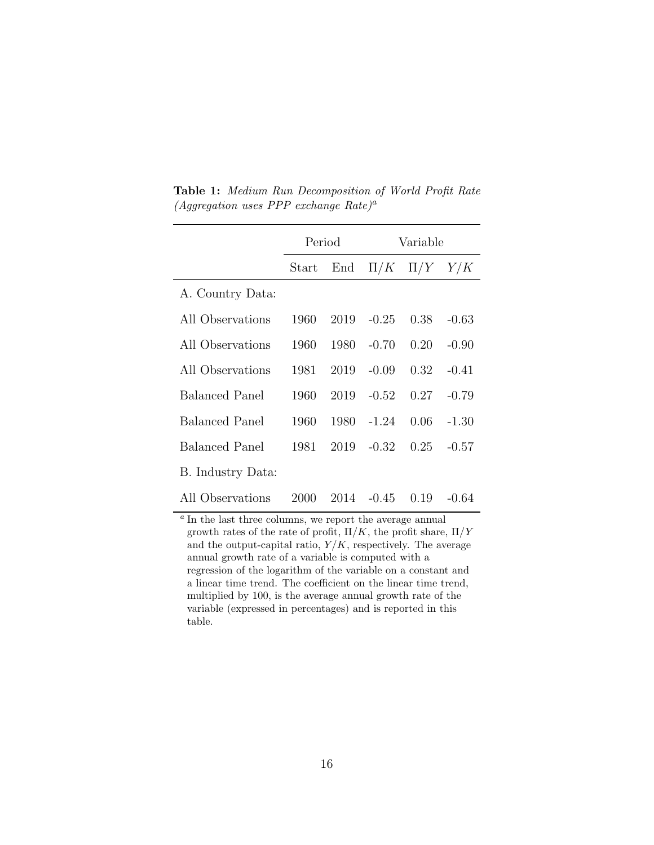|                                                                            | Period |      | Variable           |                       |         |  |  |
|----------------------------------------------------------------------------|--------|------|--------------------|-----------------------|---------|--|--|
|                                                                            | Start  | End  |                    | $\Pi/K$ $\Pi/Y$ $Y/K$ |         |  |  |
| A. Country Data:                                                           |        |      |                    |                       |         |  |  |
| All Observations                                                           | 1960   |      | 2019 -0.25         | 0.38                  | $-0.63$ |  |  |
| All Observations                                                           | 1960   | 1980 | $-0.70$            | 0.20                  | $-0.90$ |  |  |
| All Observations                                                           | 1981   | 2019 | $-0.09$            | 0.32                  | $-0.41$ |  |  |
| <b>Balanced Panel</b>                                                      | 1960   | 2019 | $-0.52$            | 0.27                  | $-0.79$ |  |  |
| <b>Balanced Panel</b>                                                      | 1960   |      | 1980 -1.24         | 0.06                  | $-1.30$ |  |  |
| <b>Balanced Panel</b>                                                      | 1981   | 2019 | $-0.32$            | 0.25                  | $-0.57$ |  |  |
| B. Industry Data:                                                          |        |      |                    |                       |         |  |  |
| All Observations                                                           | 2000   |      | $2014 - 0.45 0.19$ |                       | $-0.64$ |  |  |
| <sup><i>a</i></sup> In the last three columns we conert the average annual |        |      |                    |                       |         |  |  |

Table 1: Medium Run Decomposition of World Profit Rate (Aggregation uses PPP exchange Rate)<sup>a</sup>

In the last three columns, we report the average annual growth rates of the rate of profit,  $\Pi/K$ , the profit share,  $\Pi/Y$ and the output-capital ratio,  $Y/K$ , respectively. The average annual growth rate of a variable is computed with a regression of the logarithm of the variable on a constant and a linear time trend. The coefficient on the linear time trend, multiplied by 100, is the average annual growth rate of the variable (expressed in percentages) and is reported in this table.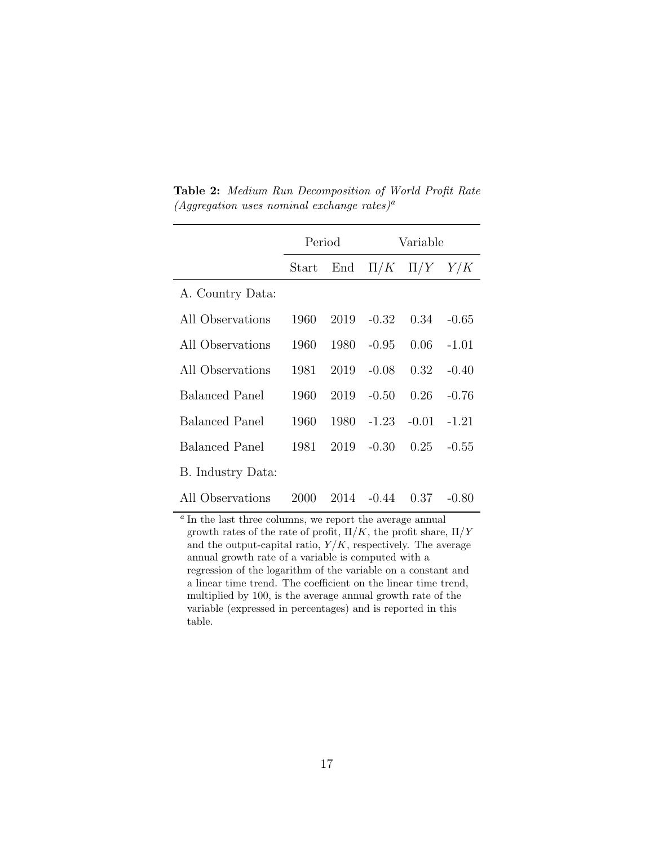|                                                                            | Period |      | Variable   |                       |         |  |  |
|----------------------------------------------------------------------------|--------|------|------------|-----------------------|---------|--|--|
|                                                                            | Start  | End  |            | $\Pi/K$ $\Pi/Y$ $Y/K$ |         |  |  |
| A. Country Data:                                                           |        |      |            |                       |         |  |  |
| All Observations                                                           | 1960   |      | 2019 -0.32 | 0.34                  | $-0.65$ |  |  |
| All Observations                                                           | 1960   | 1980 | $-0.95$    | 0.06                  | $-1.01$ |  |  |
| All Observations                                                           | 1981   | 2019 | $-0.08$    | 0.32                  | $-0.40$ |  |  |
| <b>Balanced Panel</b>                                                      | 1960   | 2019 | $-0.50$    | 0.26                  | $-0.76$ |  |  |
| <b>Balanced Panel</b>                                                      | 1960   |      | 1980 -1.23 | $-0.01$               | $-1.21$ |  |  |
| <b>Balanced Panel</b>                                                      | 1981   | 2019 | $-0.30$    | 0.25                  | $-0.55$ |  |  |
| B. Industry Data:                                                          |        |      |            |                       |         |  |  |
| All Observations                                                           | 2000   |      | 2014 -0.44 | 0.37                  | $-0.80$ |  |  |
| <sup><i>a</i></sup> In the last three columns we conert the average annual |        |      |            |                       |         |  |  |

Table 2: Medium Run Decomposition of World Profit Rate (Aggregation uses nominal exchange rates)<sup>a</sup>

In the last three columns, we report the average annual growth rates of the rate of profit,  $\Pi/K$ , the profit share,  $\Pi/Y$ and the output-capital ratio,  $Y/K$ , respectively. The average annual growth rate of a variable is computed with a regression of the logarithm of the variable on a constant and a linear time trend. The coefficient on the linear time trend, multiplied by 100, is the average annual growth rate of the variable (expressed in percentages) and is reported in this table.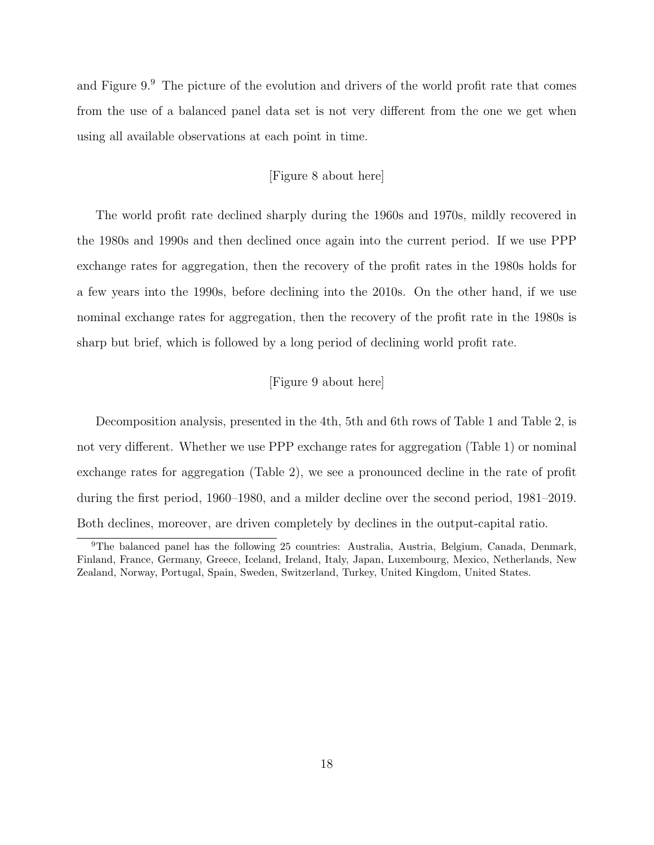and Figure 9.<sup>9</sup> The picture of the evolution and drivers of the world profit rate that comes from the use of a balanced panel data set is not very different from the one we get when using all available observations at each point in time.

#### [Figure 8 about here]

The world profit rate declined sharply during the 1960s and 1970s, mildly recovered in the 1980s and 1990s and then declined once again into the current period. If we use PPP exchange rates for aggregation, then the recovery of the profit rates in the 1980s holds for a few years into the 1990s, before declining into the 2010s. On the other hand, if we use nominal exchange rates for aggregation, then the recovery of the profit rate in the 1980s is sharp but brief, which is followed by a long period of declining world profit rate.

#### [Figure 9 about here]

Decomposition analysis, presented in the 4th, 5th and 6th rows of Table 1 and Table 2, is not very different. Whether we use PPP exchange rates for aggregation (Table 1) or nominal exchange rates for aggregation (Table 2), we see a pronounced decline in the rate of profit during the first period, 1960–1980, and a milder decline over the second period, 1981–2019. Both declines, moreover, are driven completely by declines in the output-capital ratio.

<sup>9</sup>The balanced panel has the following 25 countries: Australia, Austria, Belgium, Canada, Denmark, Finland, France, Germany, Greece, Iceland, Ireland, Italy, Japan, Luxembourg, Mexico, Netherlands, New Zealand, Norway, Portugal, Spain, Sweden, Switzerland, Turkey, United Kingdom, United States.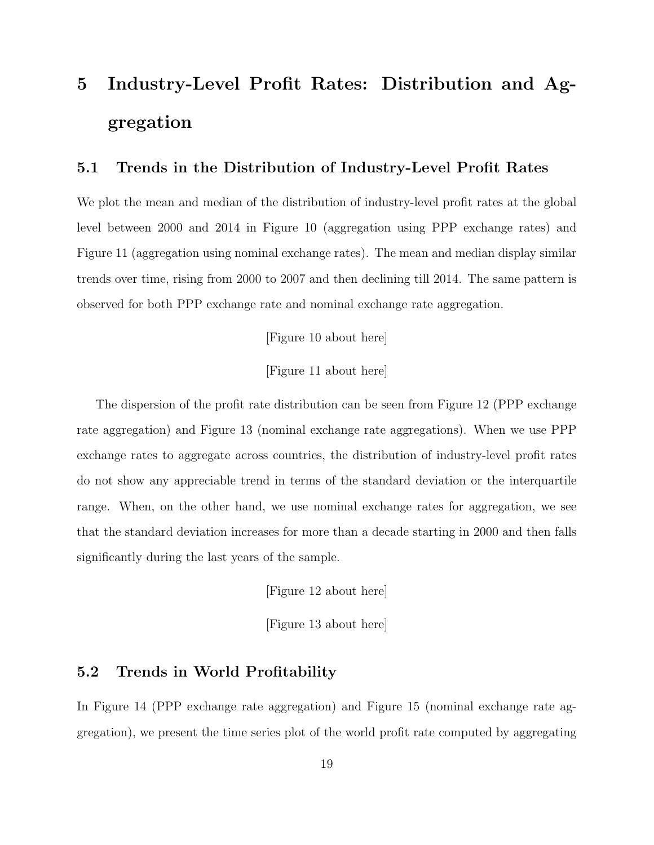# 5 Industry-Level Profit Rates: Distribution and Aggregation

## 5.1 Trends in the Distribution of Industry-Level Profit Rates

We plot the mean and median of the distribution of industry-level profit rates at the global level between 2000 and 2014 in Figure 10 (aggregation using PPP exchange rates) and Figure 11 (aggregation using nominal exchange rates). The mean and median display similar trends over time, rising from 2000 to 2007 and then declining till 2014. The same pattern is observed for both PPP exchange rate and nominal exchange rate aggregation.

[Figure 10 about here]

[Figure 11 about here]

The dispersion of the profit rate distribution can be seen from Figure 12 (PPP exchange rate aggregation) and Figure 13 (nominal exchange rate aggregations). When we use PPP exchange rates to aggregate across countries, the distribution of industry-level profit rates do not show any appreciable trend in terms of the standard deviation or the interquartile range. When, on the other hand, we use nominal exchange rates for aggregation, we see that the standard deviation increases for more than a decade starting in 2000 and then falls significantly during the last years of the sample.

[Figure 12 about here]

[Figure 13 about here]

### 5.2 Trends in World Profitability

In Figure 14 (PPP exchange rate aggregation) and Figure 15 (nominal exchange rate aggregation), we present the time series plot of the world profit rate computed by aggregating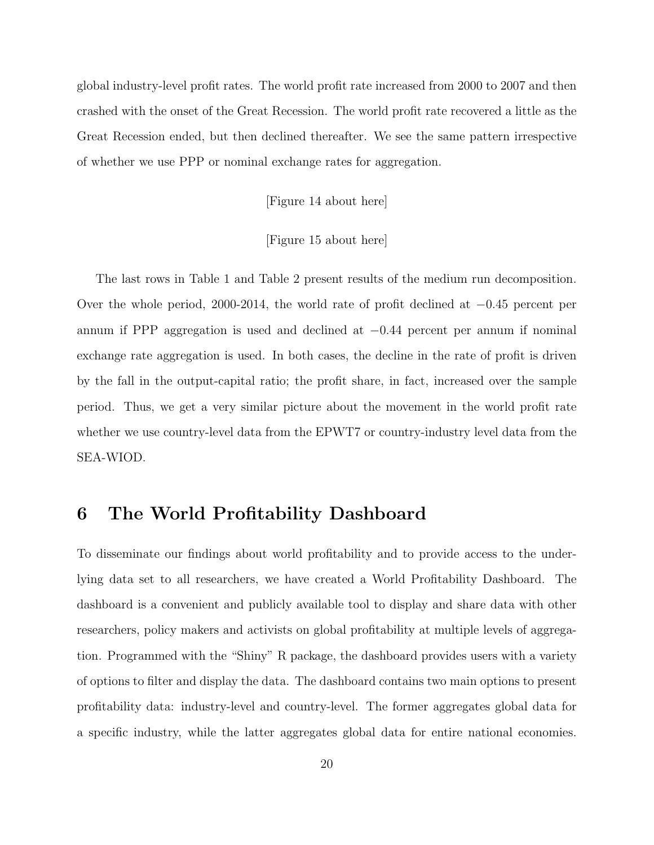global industry-level profit rates. The world profit rate increased from 2000 to 2007 and then crashed with the onset of the Great Recession. The world profit rate recovered a little as the Great Recession ended, but then declined thereafter. We see the same pattern irrespective of whether we use PPP or nominal exchange rates for aggregation.

[Figure 14 about here]

#### [Figure 15 about here]

The last rows in Table 1 and Table 2 present results of the medium run decomposition. Over the whole period, 2000-2014, the world rate of profit declined at −0.45 percent per annum if PPP aggregation is used and declined at −0.44 percent per annum if nominal exchange rate aggregation is used. In both cases, the decline in the rate of profit is driven by the fall in the output-capital ratio; the profit share, in fact, increased over the sample period. Thus, we get a very similar picture about the movement in the world profit rate whether we use country-level data from the EPWT7 or country-industry level data from the SEA-WIOD.

## 6 The World Profitability Dashboard

To disseminate our findings about world profitability and to provide access to the underlying data set to all researchers, we have created a World Profitability Dashboard. The dashboard is a convenient and publicly available tool to display and share data with other researchers, policy makers and activists on global profitability at multiple levels of aggregation. Programmed with the "Shiny" R package, the dashboard provides users with a variety of options to filter and display the data. The dashboard contains two main options to present profitability data: industry-level and country-level. The former aggregates global data for a specific industry, while the latter aggregates global data for entire national economies.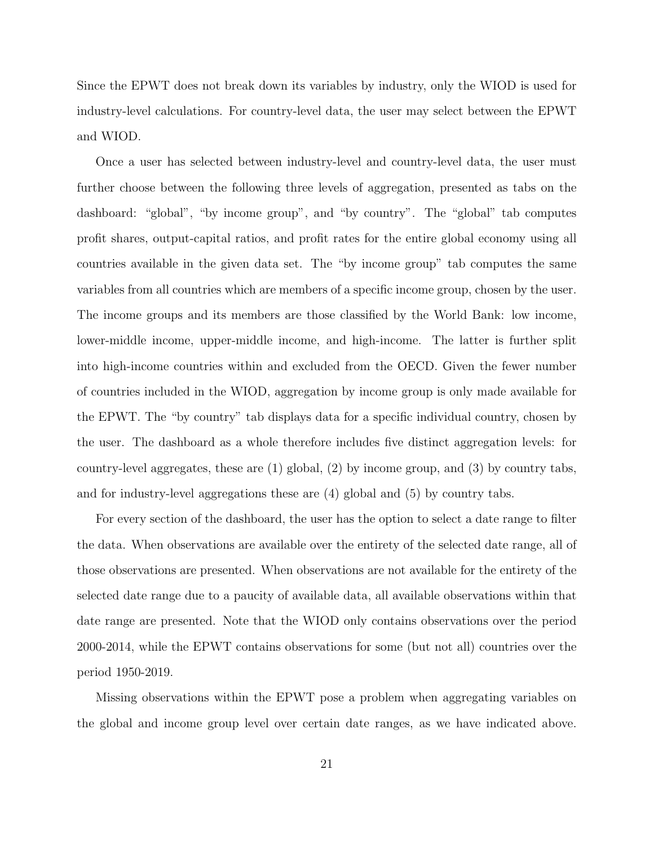Since the EPWT does not break down its variables by industry, only the WIOD is used for industry-level calculations. For country-level data, the user may select between the EPWT and WIOD.

Once a user has selected between industry-level and country-level data, the user must further choose between the following three levels of aggregation, presented as tabs on the dashboard: "global", "by income group", and "by country". The "global" tab computes profit shares, output-capital ratios, and profit rates for the entire global economy using all countries available in the given data set. The "by income group" tab computes the same variables from all countries which are members of a specific income group, chosen by the user. The income groups and its members are those classified by the World Bank: low income, lower-middle income, upper-middle income, and high-income. The latter is further split into high-income countries within and excluded from the OECD. Given the fewer number of countries included in the WIOD, aggregation by income group is only made available for the EPWT. The "by country" tab displays data for a specific individual country, chosen by the user. The dashboard as a whole therefore includes five distinct aggregation levels: for country-level aggregates, these are (1) global, (2) by income group, and (3) by country tabs, and for industry-level aggregations these are (4) global and (5) by country tabs.

For every section of the dashboard, the user has the option to select a date range to filter the data. When observations are available over the entirety of the selected date range, all of those observations are presented. When observations are not available for the entirety of the selected date range due to a paucity of available data, all available observations within that date range are presented. Note that the WIOD only contains observations over the period 2000-2014, while the EPWT contains observations for some (but not all) countries over the period 1950-2019.

Missing observations within the EPWT pose a problem when aggregating variables on the global and income group level over certain date ranges, as we have indicated above.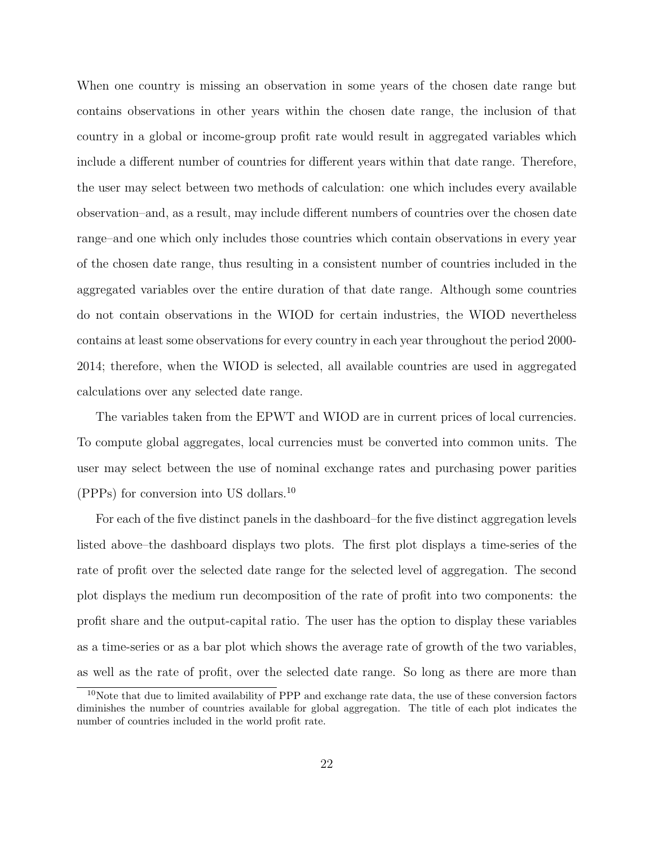When one country is missing an observation in some years of the chosen date range but contains observations in other years within the chosen date range, the inclusion of that country in a global or income-group profit rate would result in aggregated variables which include a different number of countries for different years within that date range. Therefore, the user may select between two methods of calculation: one which includes every available observation–and, as a result, may include different numbers of countries over the chosen date range–and one which only includes those countries which contain observations in every year of the chosen date range, thus resulting in a consistent number of countries included in the aggregated variables over the entire duration of that date range. Although some countries do not contain observations in the WIOD for certain industries, the WIOD nevertheless contains at least some observations for every country in each year throughout the period 2000- 2014; therefore, when the WIOD is selected, all available countries are used in aggregated calculations over any selected date range.

The variables taken from the EPWT and WIOD are in current prices of local currencies. To compute global aggregates, local currencies must be converted into common units. The user may select between the use of nominal exchange rates and purchasing power parities (PPPs) for conversion into US dollars.<sup>10</sup>

For each of the five distinct panels in the dashboard–for the five distinct aggregation levels listed above–the dashboard displays two plots. The first plot displays a time-series of the rate of profit over the selected date range for the selected level of aggregation. The second plot displays the medium run decomposition of the rate of profit into two components: the profit share and the output-capital ratio. The user has the option to display these variables as a time-series or as a bar plot which shows the average rate of growth of the two variables, as well as the rate of profit, over the selected date range. So long as there are more than

<sup>&</sup>lt;sup>10</sup>Note that due to limited availability of PPP and exchange rate data, the use of these conversion factors diminishes the number of countries available for global aggregation. The title of each plot indicates the number of countries included in the world profit rate.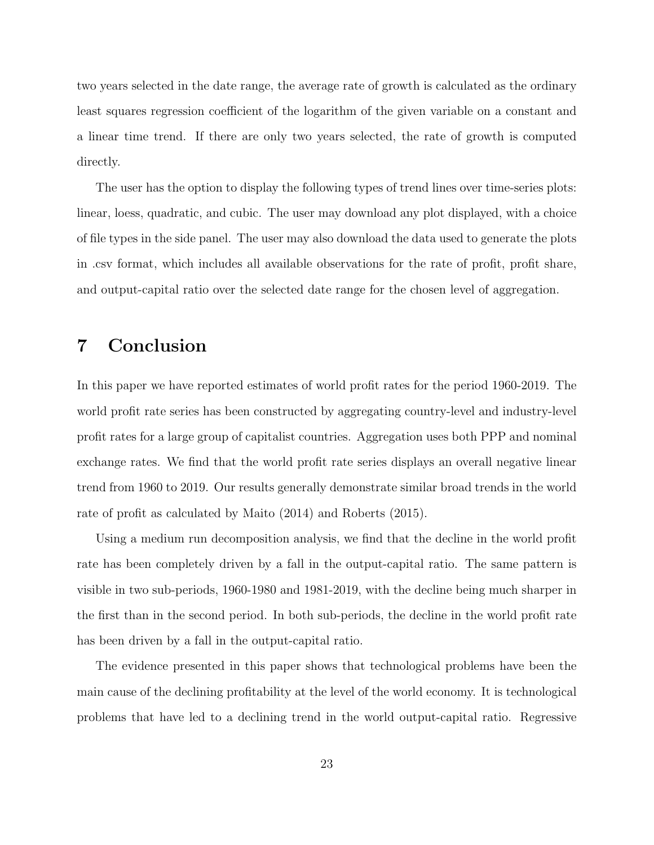two years selected in the date range, the average rate of growth is calculated as the ordinary least squares regression coefficient of the logarithm of the given variable on a constant and a linear time trend. If there are only two years selected, the rate of growth is computed directly.

The user has the option to display the following types of trend lines over time-series plots: linear, loess, quadratic, and cubic. The user may download any plot displayed, with a choice of file types in the side panel. The user may also download the data used to generate the plots in .csv format, which includes all available observations for the rate of profit, profit share, and output-capital ratio over the selected date range for the chosen level of aggregation.

# 7 Conclusion

In this paper we have reported estimates of world profit rates for the period 1960-2019. The world profit rate series has been constructed by aggregating country-level and industry-level profit rates for a large group of capitalist countries. Aggregation uses both PPP and nominal exchange rates. We find that the world profit rate series displays an overall negative linear trend from 1960 to 2019. Our results generally demonstrate similar broad trends in the world rate of profit as calculated by Maito (2014) and Roberts (2015).

Using a medium run decomposition analysis, we find that the decline in the world profit rate has been completely driven by a fall in the output-capital ratio. The same pattern is visible in two sub-periods, 1960-1980 and 1981-2019, with the decline being much sharper in the first than in the second period. In both sub-periods, the decline in the world profit rate has been driven by a fall in the output-capital ratio.

The evidence presented in this paper shows that technological problems have been the main cause of the declining profitability at the level of the world economy. It is technological problems that have led to a declining trend in the world output-capital ratio. Regressive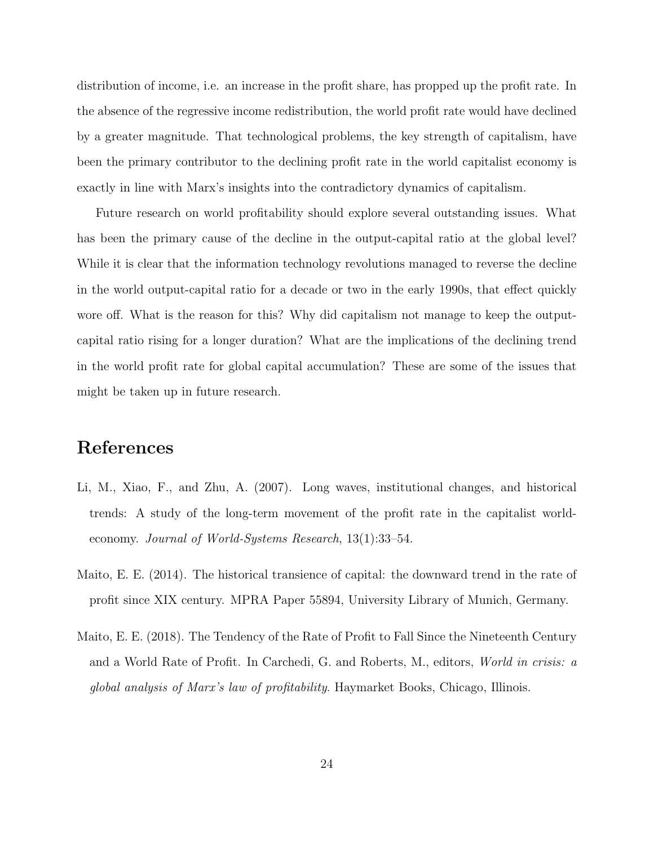distribution of income, i.e. an increase in the profit share, has propped up the profit rate. In the absence of the regressive income redistribution, the world profit rate would have declined by a greater magnitude. That technological problems, the key strength of capitalism, have been the primary contributor to the declining profit rate in the world capitalist economy is exactly in line with Marx's insights into the contradictory dynamics of capitalism.

Future research on world profitability should explore several outstanding issues. What has been the primary cause of the decline in the output-capital ratio at the global level? While it is clear that the information technology revolutions managed to reverse the decline in the world output-capital ratio for a decade or two in the early 1990s, that effect quickly wore off. What is the reason for this? Why did capitalism not manage to keep the outputcapital ratio rising for a longer duration? What are the implications of the declining trend in the world profit rate for global capital accumulation? These are some of the issues that might be taken up in future research.

## References

- Li, M., Xiao, F., and Zhu, A. (2007). Long waves, institutional changes, and historical trends: A study of the long-term movement of the profit rate in the capitalist worldeconomy. Journal of World-Systems Research, 13(1):33–54.
- Maito, E. E. (2014). The historical transience of capital: the downward trend in the rate of profit since XIX century. MPRA Paper 55894, University Library of Munich, Germany.
- Maito, E. E. (2018). The Tendency of the Rate of Profit to Fall Since the Nineteenth Century and a World Rate of Profit. In Carchedi, G. and Roberts, M., editors, World in crisis: a global analysis of Marx's law of profitability. Haymarket Books, Chicago, Illinois.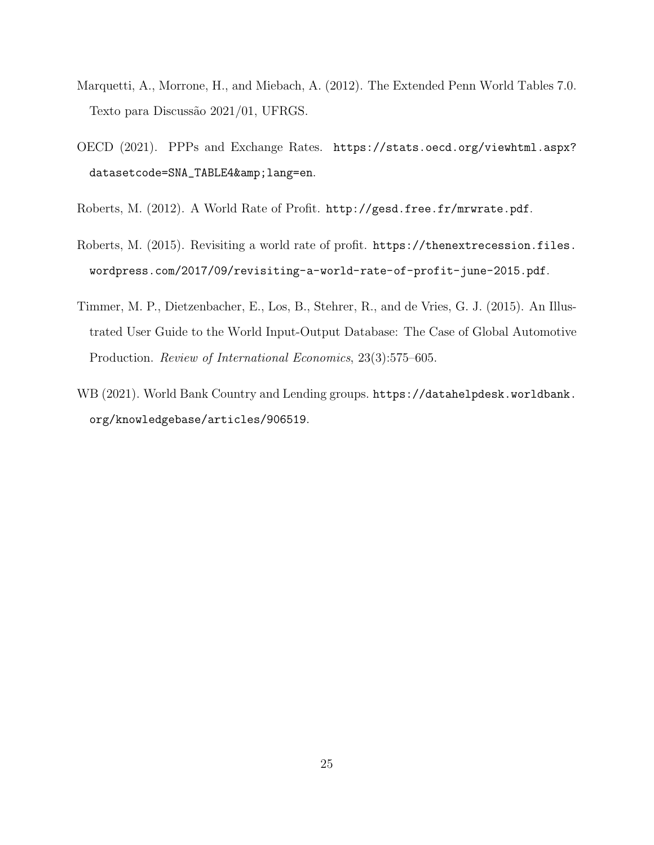- Marquetti, A., Morrone, H., and Miebach, A. (2012). The Extended Penn World Tables 7.0. Texto para Discussão 2021/01, UFRGS.
- OECD (2021). PPPs and Exchange Rates. https://stats.oecd.org/viewhtml.aspx? datasetcode=SNA\_TABLE4& lang=en.
- Roberts, M. (2012). A World Rate of Profit. http://gesd.free.fr/mrwrate.pdf.
- Roberts, M. (2015). Revisiting a world rate of profit. https://thenextrecession.files. wordpress.com/2017/09/revisiting-a-world-rate-of-profit-june-2015.pdf.
- Timmer, M. P., Dietzenbacher, E., Los, B., Stehrer, R., and de Vries, G. J. (2015). An Illustrated User Guide to the World Input-Output Database: The Case of Global Automotive Production. Review of International Economics, 23(3):575–605.
- WB (2021). World Bank Country and Lending groups. https://datahelpdesk.worldbank. org/knowledgebase/articles/906519.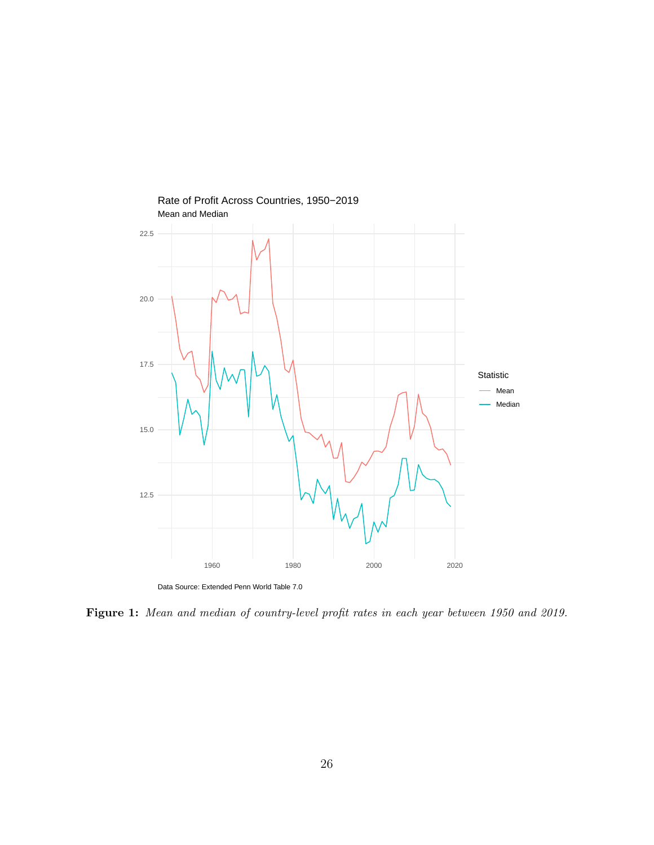

Mean and Median Rate of Profit Across Countries, 1950−2019

Figure 1: Mean and median of country-level profit rates in each year between 1950 and 2019.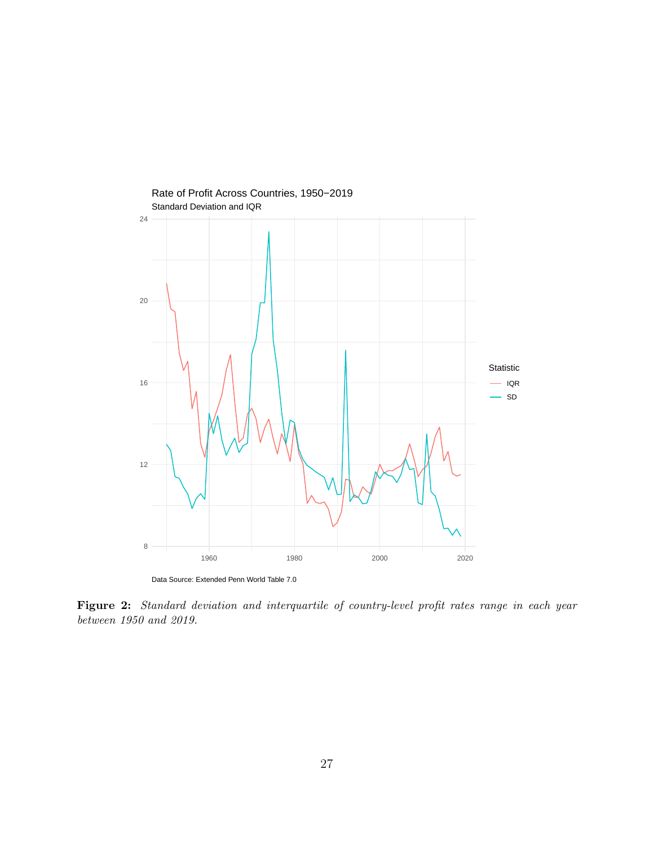

Data Source: Extended Penn World Table 7.0

Figure 2: Standard deviation and interquartile of country-level profit rates range in each year between 1950 and 2019.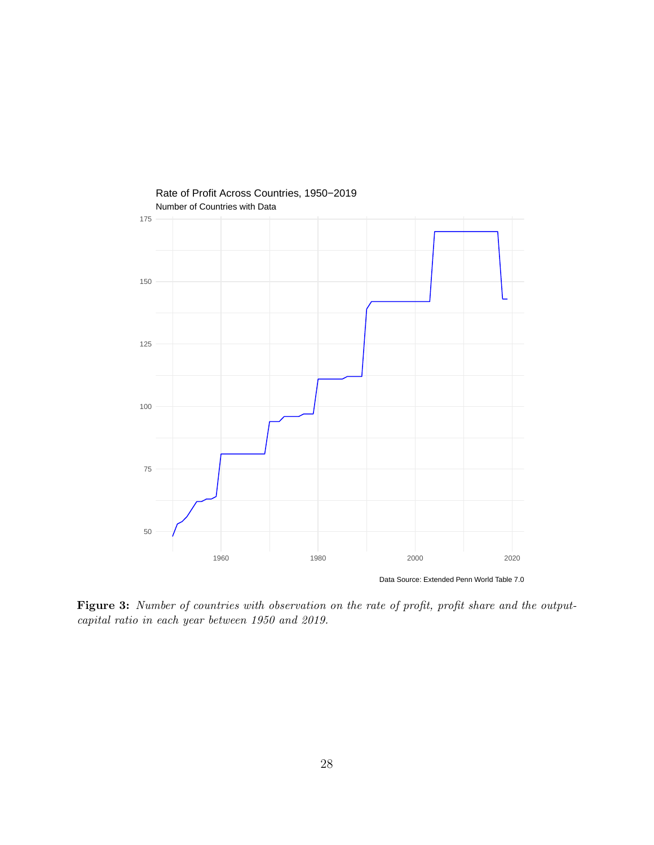

Data Source: Extended Penn World Table 7.0

Figure 3: Number of countries with observation on the rate of profit, profit share and the outputcapital ratio in each year between 1950 and 2019.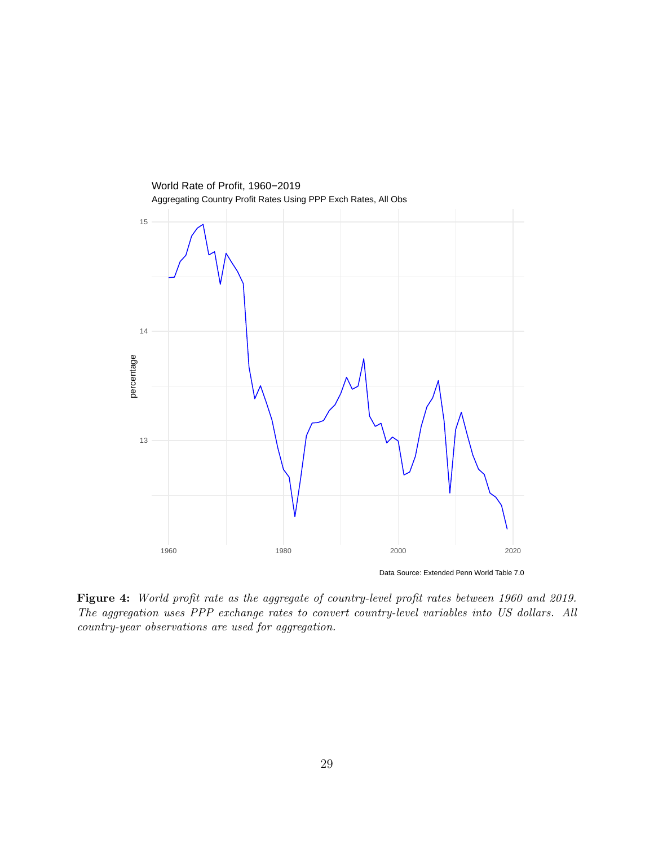

Figure 4: World profit rate as the aggregate of country-level profit rates between 1960 and 2019. The aggregation uses PPP exchange rates to convert country-level variables into US dollars. All country-year observations are used for aggregation.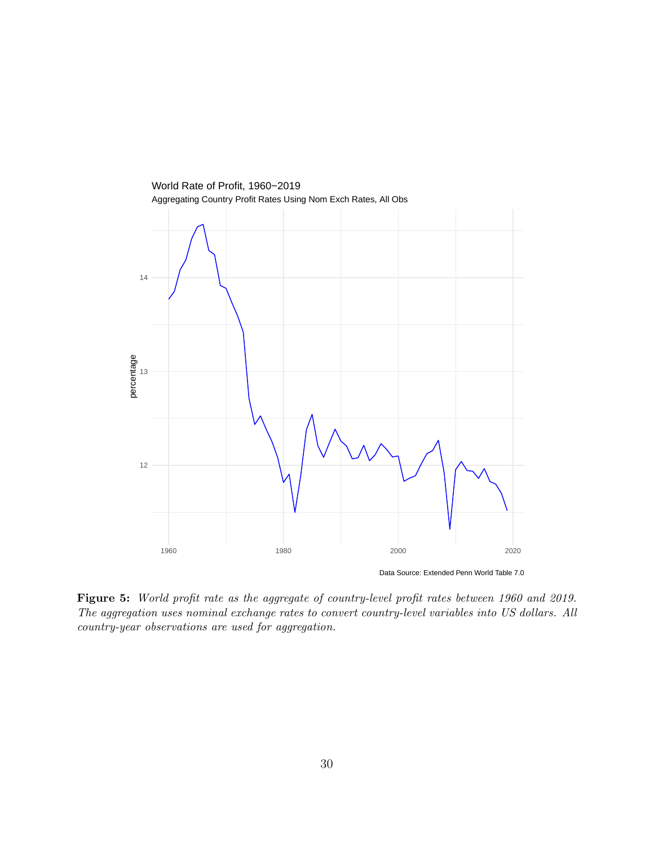

Figure 5: World profit rate as the aggregate of country-level profit rates between 1960 and 2019. The aggregation uses nominal exchange rates to convert country-level variables into US dollars. All country-year observations are used for aggregation.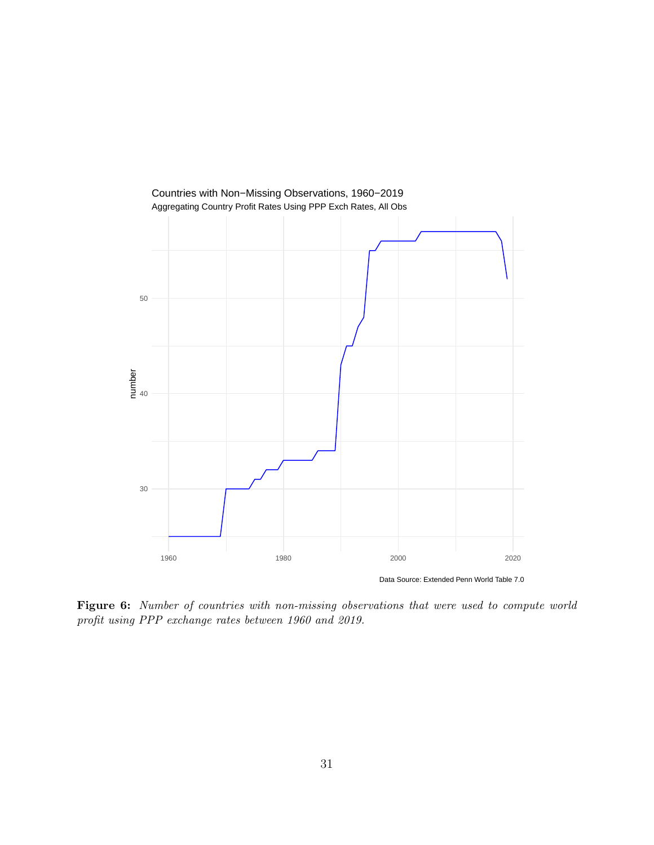

Data Source: Extended Penn World Table 7.0

Figure 6: Number of countries with non-missing observations that were used to compute world profit using PPP exchange rates between 1960 and 2019.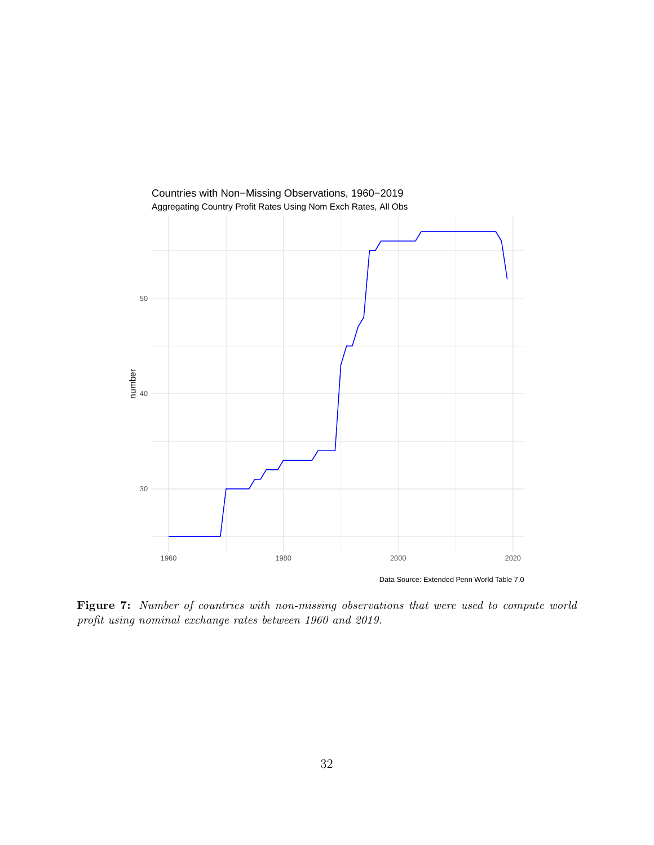

Data Source: Extended Penn World Table 7.0

Figure 7: Number of countries with non-missing observations that were used to compute world profit using nominal exchange rates between 1960 and 2019.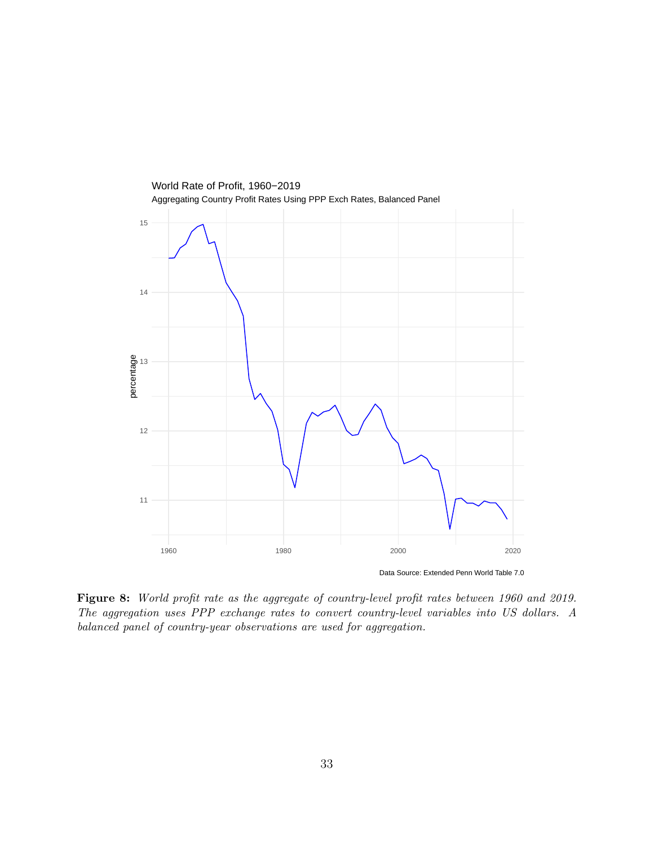

Data Source: Extended Penn World Table 7.0

Figure 8: World profit rate as the aggregate of country-level profit rates between 1960 and 2019. The aggregation uses PPP exchange rates to convert country-level variables into US dollars. A balanced panel of country-year observations are used for aggregation.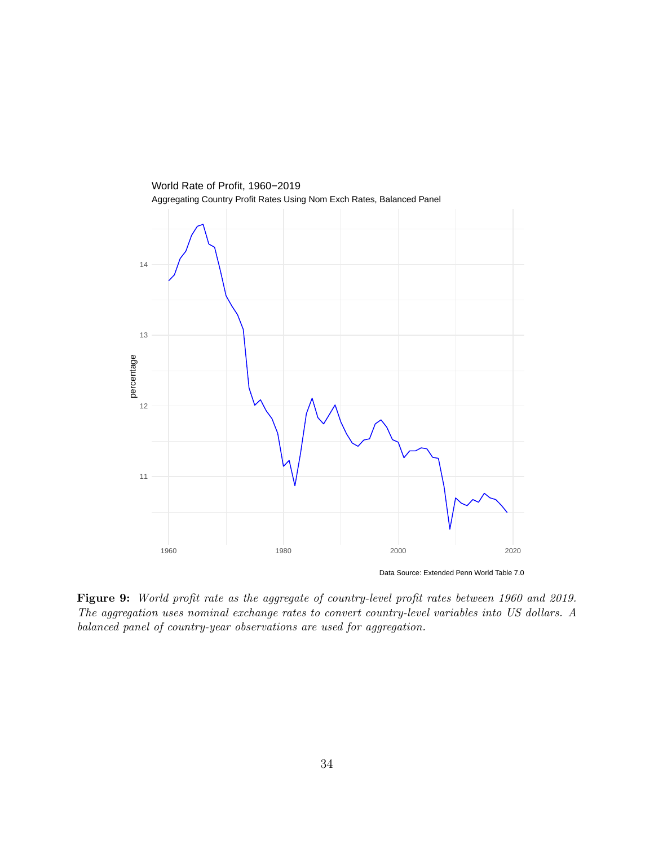

Figure 9: World profit rate as the aggregate of country-level profit rates between 1960 and 2019. The aggregation uses nominal exchange rates to convert country-level variables into US dollars. A balanced panel of country-year observations are used for aggregation.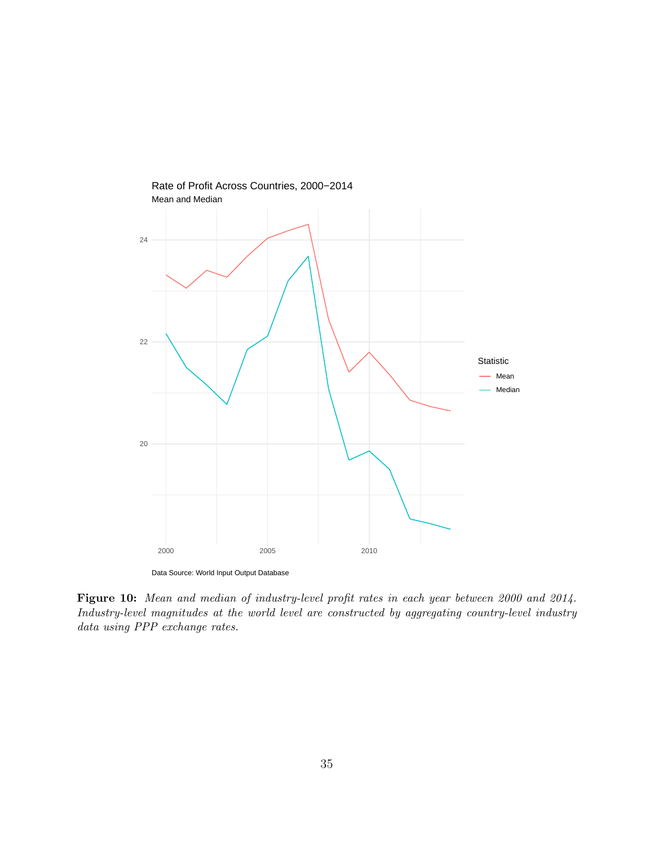

Data Source: World Input Output Database

Figure 10: Mean and median of industry-level profit rates in each year between 2000 and 2014. Industry-level magnitudes at the world level are constructed by aggregating country-level industry data using PPP exchange rates.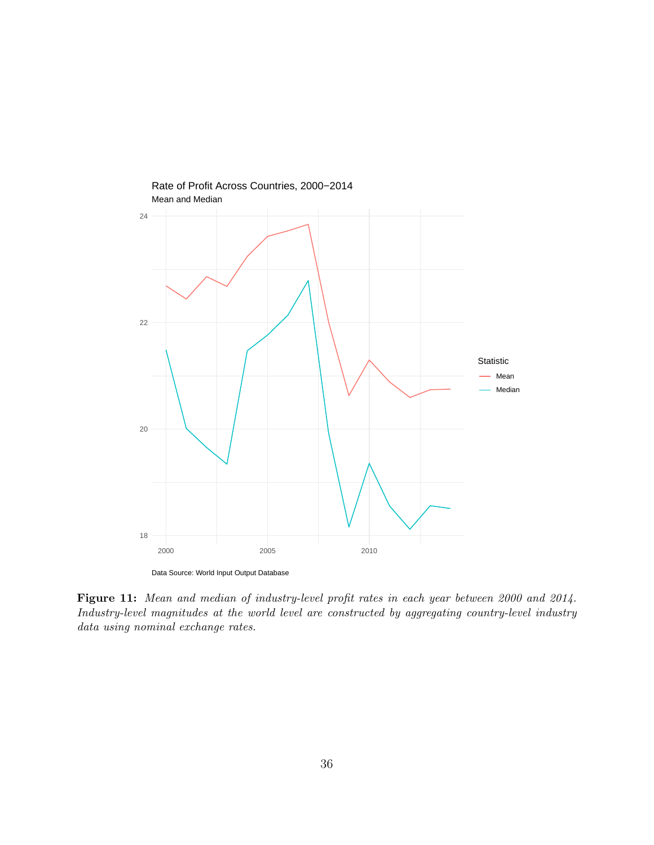

Figure 11: Mean and median of industry-level profit rates in each year between 2000 and 2014. Industry-level magnitudes at the world level are constructed by aggregating country-level industry data using nominal exchange rates.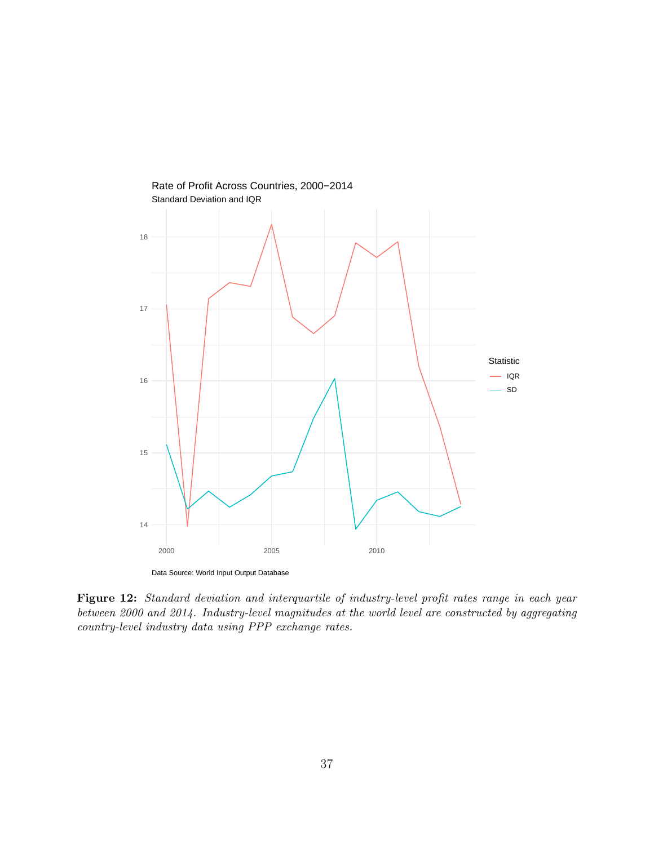

Figure 12: Standard deviation and interquartile of industry-level profit rates range in each year between 2000 and 2014. Industry-level magnitudes at the world level are constructed by aggregating country-level industry data using PPP exchange rates.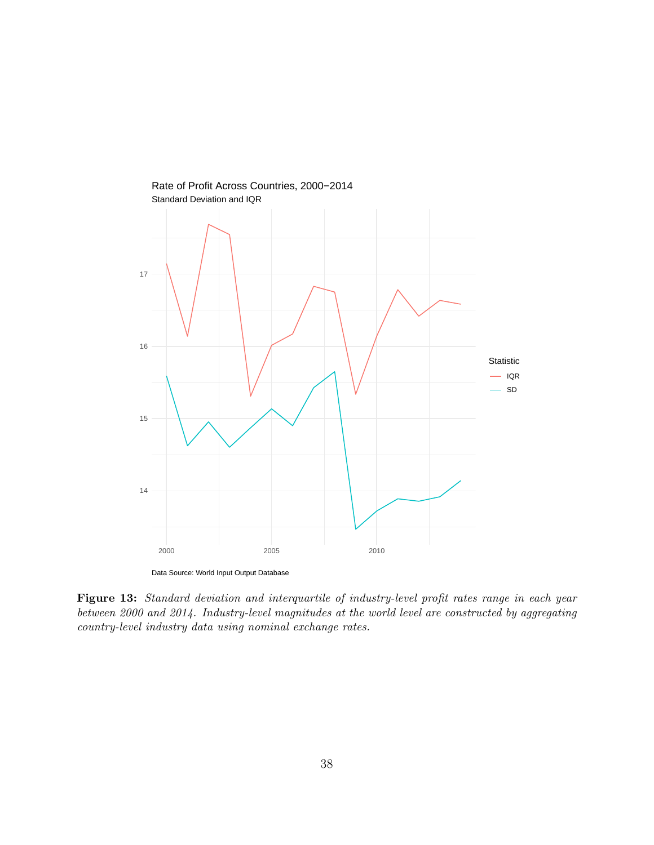

Figure 13: Standard deviation and interquartile of industry-level profit rates range in each year between 2000 and 2014. Industry-level magnitudes at the world level are constructed by aggregating country-level industry data using nominal exchange rates.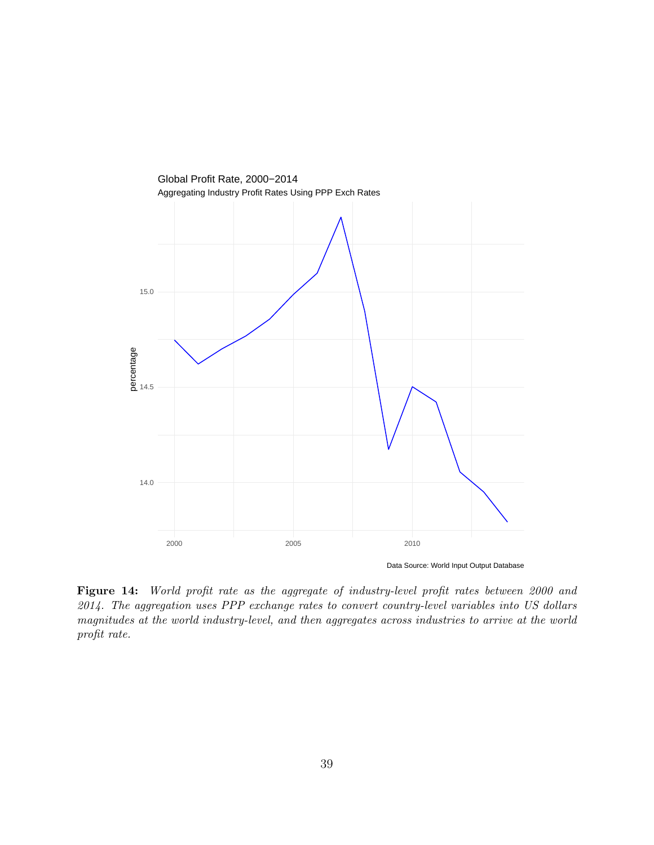

Figure 14: World profit rate as the aggregate of industry-level profit rates between 2000 and 2014. The aggregation uses PPP exchange rates to convert country-level variables into US dollars magnitudes at the world industry-level, and then aggregates across industries to arrive at the world profit rate.